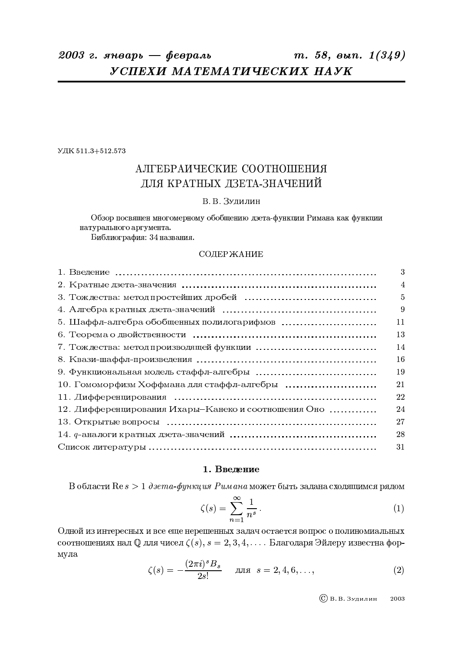УДК 511.3+512.573

# АЛГЕБРАИЧЕСКИЕ СООТНОШЕНИЯ ЛЛЯ КРАТНЫХ ДЗЕТА-ЗНАЧЕНИЙ

# В.В. Зудилин

Обзор посвящен многомерному обобщению дзета-функции Римана как функции натурального аргумента.

Библиография: 34 названия.

# СОДЕРЖАНИЕ

|                                                      | 3              |
|------------------------------------------------------|----------------|
|                                                      | $\overline{4}$ |
|                                                      | $\overline{5}$ |
|                                                      | 9              |
| 5. Шаффл-алгебра обобщенных полилогарифмов           | 11             |
|                                                      | 13             |
|                                                      | 14             |
|                                                      | 16             |
|                                                      | 19             |
|                                                      | 21             |
|                                                      | 22             |
| 12. Дифференцирования Ихары-Канеко и соотношения Оно | 24             |
|                                                      | 27             |
|                                                      | 28             |
|                                                      | 31             |

## 1. Введение

В области  $\text{Re } s > 1$  дзета-функция Римана может быть задана сходящимся рядом

$$
\zeta(s) = \sum_{n=1}^{\infty} \frac{1}{n^s} \,. \tag{1}
$$

Одной из интересных и все еще нерешенных задач остается вопрос о полиномиальных соотношениях над  $\mathbb Q$  для чисел  $\zeta(s)$ ,  $s = 2, 3, 4, \ldots$ . Благодаря Эйлеру известна формула  $\sqrt{2}$   $\sqrt{2}$ 

$$
\zeta(s) = -\frac{(2\pi i)^s B_s}{2s!} \qquad \text{and} \quad s = 2, 4, 6, \dots,
$$
 (2)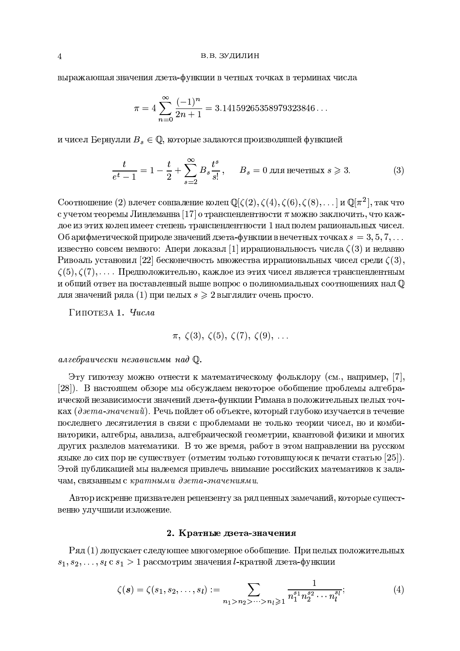выражающая значения дзета-функции в четных точках в терминах числа

$$
\pi = 4 \sum_{n=0}^{\infty} \frac{(-1)^n}{2n+1} = 3.14159265358979323846...
$$

и чисел Бернулли  $B_s \in \mathbb{Q}$ , которые задаются производящей функцией

$$
\frac{t}{e^t - 1} = 1 - \frac{t}{2} + \sum_{s=2}^{\infty} B_s \frac{t^s}{s!}, \qquad B_s = 0 \text{ and нечетных } s \geq 3. \tag{3}
$$

Соотношение (2) влечет совпадение колец  $\mathbb{Q}[\zeta(2), \zeta(4), \zeta(6), \zeta(8), \ldots]$  и  $\mathbb{Q}[\pi^2]$ , так что с учетом теоремы Линдеманна [17] о трансцендентности  $\pi$  можно заключить, что каждое из этих колец имеет степень трансцендентности 1 над полем рациональных чисел. Об арифметической природе значений дзета-функции в нечетных точках  $s = 3, 5, 7, ...$ известно совсем немного: Апери доказал [1] иррациональность числа  $\zeta(3)$  и недавно Ривоаль установил [22] бесконечность множества иррациональных чисел среди  $\zeta(3)$ ,  $\zeta(5), \zeta(7), \ldots$ . Предположительно, каждое из этих чисел является трансцендентным и общий ответ на поставленный выше вопрос о полиномиальных соотношениях над  $\mathbb O$ для значений ряда (1) при целых  $s \geq 2$  выглядит очень просто.

Гипотеза 1. Числа

 $\pi$ ,  $\zeta(3)$ ,  $\zeta(5)$ ,  $\zeta(7)$ ,  $\zeta(9)$ , ...

алгебраически независимы над Ф.

Эту гипотезу можно отнести к математическому фольклору (см., например, [7], [28]). В настоящем обзоре мы обсуждаем некоторое обобщение проблемы алгебраической независимости значений дзета-функции Римана в положительных целых точках ( $\partial$ зета-значений). Речь пойдет об объекте, который глубоко изучается в течение последнего десятилетия в связи с проблемами не только теории чисел, но и комбинаторики, алгебры, анализа, алгебраической геометрии, квантовой физики и многих других разделов математики. В то же время, работ в этом направлении на русском языке до сих пор не существует (отметим только готовящуюся к печати статью [25]). Этой публикацией мы надеемся привлечь внимание российских математиков к задачам, связанным с кратными дзета-значениями.

Автор искренне признателен рецензенту за ряд ценных замечаний, которые существенно улучшили изложение.

# 2. Кратные дзета-значения

 $P_{\mathcal{A} \mathcal{A}}(1)$  допускает следующее многомерное обобщение. При целых положительных  $s_1, s_2, \ldots, s_l$  с  $s_1 > 1$  рассмотрим значения *l*-кратной дзета-функции

$$
\zeta(s) = \zeta(s_1, s_2, \dots, s_l) := \sum_{n_1 > n_2 > \dots > n_l \geqslant 1} \frac{1}{n_1^{s_1} n_2^{s_2} \cdots n_l^{s_l}}; \tag{4}
$$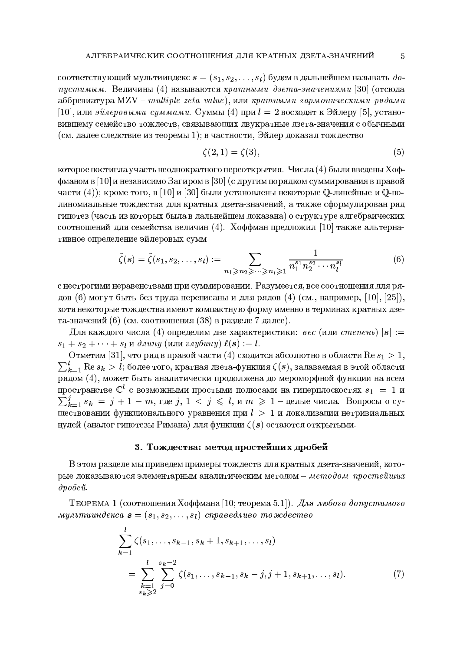соответствующий мультииндекс  $\mathbf{s} = (s_1, s_2, \ldots, s_l)$  будем в дальнейшем называть допустимым. Величины (4) называются кратными дзета-значениями [30] (отсюда  $a\overline{b}$ бревиатура MZV – multiple zeta value), или кратными гармоническими рядами [10], или эйлеровыми суммами. Суммы (4) при  $l = 2$  восходят к Эйлеру [5], установившему семейство тождеств, связывающих двукратные дзета-значения с обычными (см. далее следствие из теоремы 1); в частности, Эйлер доказал тождество

$$
\zeta(2,1) = \zeta(3),\tag{5}
$$

 $\overline{5}$ 

которое постигла участь неоднократного переоткрытия. Числа  $(4)$  были введены Хоффманом в [10] и независимо Загиром в [30] (с другим порядком суммирования в правой части (4)); кроме того, в [10] и [30] были установлены некоторые  $\mathbb O$ -линейные и  $\mathbb O$ -полиномиальные тождества для кратных дзета-значений, а также сформулирован ряд гипотез (часть из которых была в дальнейшем доказана) о структуре алгебраических соотношений для семейства величин (4). Хоффман предложил [10] также альтернативное определение эйлеровых сумм

$$
\tilde{\zeta}(\boldsymbol{s}) = \tilde{\zeta}(s_1, s_2, \dots, s_l) := \sum_{n_1 \geqslant n_2 \geqslant \dots \geqslant n_l \geqslant 1} \frac{1}{n_1^{s_1} n_2^{s_2} \cdots n_l^{s_l}} \tag{6}
$$

с нестрогими неравенствами при суммировании. Разумеется, все соотношения для рядов (6) могут быть без труда переписаны и для рядов (4) (см., например, [10], [25]), хотя некоторые тождества имеют компактную форму именно в терминах кратных дзета-значений (6) (см. соотношения (38) в разделе 7 далее).

Для каждого числа (4) определим две характеристики: *вес* (или *степень*)  $|s| :=$  $s_1 + s_2 + \cdots + s_l$  и длину (или глубину)  $\ell(s) := l$ .

Отметим [31], что ряд в правой части (4) сходится абсолютно в области  $\text{Re } s_1 > 1$ ,  $\sum_{k=1}^{l} \text{Re } s_k > l$ ; более того, кратная дзета-функция  $\zeta(\bm{s})$ , задаваемая в этой области рядом (4), может быть аналитически продолжена до мероморфной функции на всем пространстве  $\mathbb{C}^l$  с возможными простыми полюсами на гиперплоскостях  $s_1 = 1$  и  $\sum_{k=1}^{j} s_k = j + 1 - m$ , где  $j, 1 \lt j \leq l$ , и  $m \geq 1$  – целые числа. Вопросы о существовании функционального уравнения при  $l > 1$  и локализации нетривиальных нулей (аналог гипотезы Римана) для функции  $\zeta(s)$  остаются открытыми.

# 3. Тождества: метод простейших дробей

В этом разделе мы приведем примеры тождеств для кратных дзета-значений, которые доказываются элементарным аналитическим методом - методом простейших  $\partial p \circ \delta e \check{u}$ 

ТЕОРЕМА 1 (соотношения Хоффмана [10; теорема 5.1]). Для любого допустимого мультииндекса  $\mathbf{s} = (s_1, s_2, \ldots, s_l)$  справедливо тождество

$$
\sum_{k=1}^{l} \zeta(s_1, \dots, s_{k-1}, s_k + 1, s_{k+1}, \dots, s_l)
$$
\n
$$
= \sum_{\substack{k=1 \ s_k \ge 2}}^{l} \sum_{j=0}^{s_k - 2} \zeta(s_1, \dots, s_{k-1}, s_k - j, j + 1, s_{k+1}, \dots, s_l).
$$
\n(7)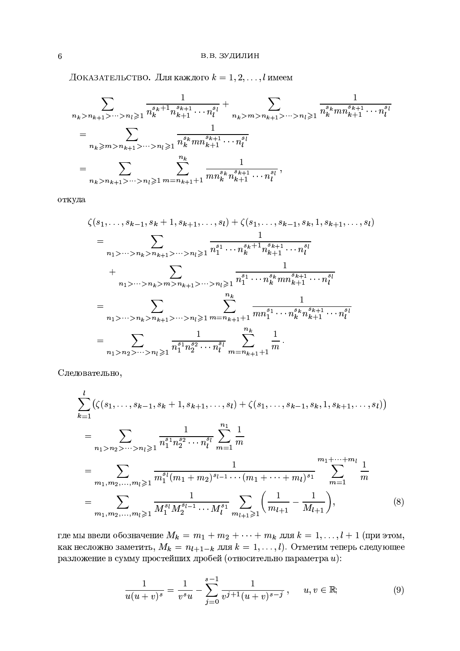Доказательство. Для каждого  $k = 1, 2, ..., l$  имеем

$$
\sum_{n_k > n_{k+1} > \dots > n_l \geqslant 1} \frac{1}{n_k^{s_k+1} n_{k+1}^{s_{k+1}} \dots n_l^{s_l}} + \sum_{n_k > m > n_{k+1} > \dots > n_l \geqslant 1} \frac{1}{n_k^{s_k} m n_{k+1}^{s_{k+1}} \dots n_l^{s_l}}
$$
\n
$$
= \sum_{n_k > m > n_{k+1} > \dots > n_l \geqslant 1} \frac{1}{n_k^{s_k} m n_{k+1}^{s_{k+1}} \dots n_l^{s_l}}
$$
\n
$$
= \sum_{n_k > n_{k+1} > \dots > n_l \geqslant 1} \sum_{m = n_{k+1}+1} \frac{1}{m n_k^{s_k} n_{k+1}^{s_{k+1}} \dots n_l^{s_l}},
$$

откуда

$$
\zeta(s_1, \ldots, s_{k-1}, s_k + 1, s_{k+1}, \ldots, s_l) + \zeta(s_1, \ldots, s_{k-1}, s_k, 1, s_{k+1}, \ldots, s_l)
$$
\n
$$
= \sum_{n_1 > \cdots > n_k > n_{k+1} > \cdots > n_l \geqslant 1} \frac{1}{n_1^{s_1} \cdots n_k^{s_k+1} n_{k+1}^{s_{k+1}} \cdots n_l^{s_l}}
$$
\n
$$
+ \sum_{n_1 > \cdots > n_k > m > n_{k+1} > \cdots > n_l \geqslant 1} \frac{1}{n_1^{s_1} \cdots n_k^{s_k} m n_{k+1}^{s_{k+1}} \cdots n_l^{s_l}}
$$
\n
$$
= \sum_{n_1 > \cdots > n_k > n_{k+1} > \cdots > n_l \geqslant 1} \sum_{m = n_{k+1} + 1}^{n_k} \frac{1}{mn_1^{s_1} \cdots n_k^{s_k} n_{k+1}^{s_{k+1}} \cdots n_l^{s_l}}
$$
\n
$$
= \sum_{n_1 > n_2 > \cdots > n_l \geqslant 1} \frac{1}{n_1^{s_1} n_2^{s_2} \cdots n_l^{s_l}} \sum_{m = n_{k+1} + 1}^{n_k} \frac{1}{m}
$$

Следовательно,

$$
\sum_{k=1}^{l} \left( \zeta(s_1, \ldots, s_{k-1}, s_k + 1, s_{k+1}, \ldots, s_l) + \zeta(s_1, \ldots, s_{k-1}, s_k, 1, s_{k+1}, \ldots, s_l) \right)
$$
\n
$$
= \sum_{n_1 > n_2 > \cdots > n_l \geqslant 1} \frac{1}{n_1^{s_1} n_2^{s_2} \cdots n_l^{s_l}} \sum_{m=1}^{n_1} \frac{1}{m}
$$
\n
$$
= \sum_{m_1, m_2, \ldots, m_l \geqslant 1} \frac{1}{m_1^{s_l} (m_1 + m_2)^{s_{l-1}} \cdots (m_1 + \cdots + m_l)^{s_1}} \sum_{m=1}^{m_1 + \cdots + m_l} \frac{1}{m}
$$
\n
$$
= \sum_{m_1, m_2, \ldots, m_l \geqslant 1} \frac{1}{M_1^{s_l} M_2^{s_{l-1}} \cdots M_l^{s_1}} \sum_{m_{l+1} \geqslant 1} \left( \frac{1}{m_{l+1}} - \frac{1}{M_{l+1}} \right), \tag{8}
$$

где мы ввели обозначение  $M_k = m_1 + m_2 + \cdots + m_k$  для  $k = 1, ..., l + 1$  (при этом, как несложно заметить,  $M_k = n_{l+1-k}$  для  $k = 1, ..., l$ ). Отметим теперь следующее разложение в сумму простейших дробей (относительно параметра  $u$ ):

$$
\frac{1}{u(u+v)^s} = \frac{1}{v^s u} - \sum_{j=0}^{s-1} \frac{1}{v^{j+1}(u+v)^{s-j}}, \quad u, v \in \mathbb{R};
$$
 (9)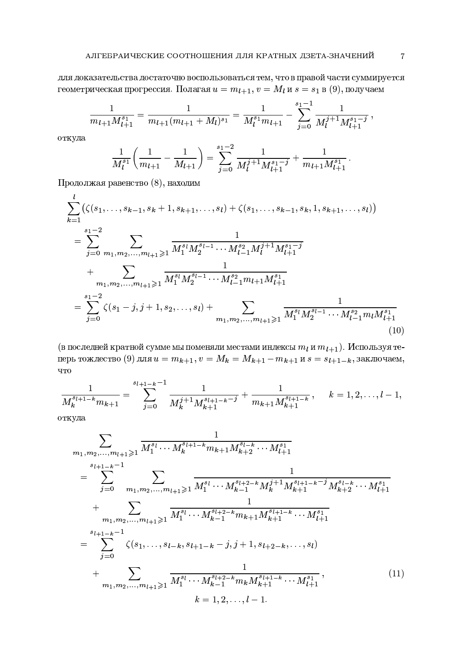для доказательства достаточно воспользоваться тем, что в правой части суммируется геометрическая прогрессия. Полагая  $u = m_{l+1}$ ,  $v = M_l$  и  $s = s_1$  в (9), получаем

$$
\frac{1}{m_{l+1}M_{l+1}^{s_1}} = \frac{1}{m_{l+1}(m_{l+1}+M_l)^{s_1}} = \frac{1}{M_l^{s_1}m_{l+1}} - \sum_{j=0}^{s_1-1} \frac{1}{M_l^{j+1}M_{l+1}^{s_1-j}},
$$

откуда

$$
\frac{1}{M_l^{s_1}} \left( \frac{1}{m_{l+1}} - \frac{1}{M_{l+1}} \right) = \sum_{j=0}^{s_1-2} \frac{1}{M_l^{j+1} M_{l+1}^{s_1-j}} + \frac{1}{m_{l+1} M_{l+1}^{s_1}}
$$

Продолжая равенство (8), находим

$$
\sum_{k=1}^{l} \left( \zeta(s_1, \ldots, s_{k-1}, s_k + 1, s_{k+1}, \ldots, s_l) + \zeta(s_1, \ldots, s_{k-1}, s_k, 1, s_{k+1}, \ldots, s_l) \right)
$$
\n
$$
= \sum_{j=0}^{s_1-2} \sum_{m_1, m_2, \ldots, m_{l+1} \geq 1} \frac{1}{M_1^{s_l} M_2^{s_{l-1}} \cdots M_{l-1}^{s_2} M_l^{j+1} M_{l+1}^{s_1 - j}} + \sum_{m_1, m_2, \ldots, m_{l+1} \geq 1} \frac{1}{M_1^{s_l} M_2^{s_{l-1}} \cdots M_{l-1}^{s_2} m_{l+1} M_{l+1}^{s_1}} = \sum_{j=0}^{s_1-2} \zeta(s_1 - j, j+1, s_2, \ldots, s_l) + \sum_{m_1, m_2, \ldots, m_{l+1} \geq 1} \frac{1}{M_1^{s_l} M_2^{s_{l-1}} \cdots M_{l-1}^{s_2} m_l M_{l+1}^{s_1}} \tag{10}
$$

(в последней кратной сумме мы поменяли местами индексы  $m_l$  и  $m_{l+1}$ ). Используя теперь тождество (9) для  $u = m_{k+1}$ ,  $v = M_k = M_{k+1} - m_{k+1}$  и  $s = s_{l+1-k}$ , заключаем, ЧTO

$$
\frac{1}{M_k^{s_{l+1-k}}m_{k+1}} = \sum_{j=0}^{s_{l+1-k}-1} \frac{1}{M_k^{j+1}M_{k+1}^{s_{l+1-k}-j}} + \frac{1}{m_{k+1}M_{k+1}^{s_{l+1-k}}}, \qquad k=1,2,\ldots,l-1,
$$

откуда

$$
\sum_{m_1, m_2, \dots, m_{l+1} \geq 1} \frac{1}{M_1^{s_l} \cdots M_k^{s_{l+1-k}} m_{k+1} M_{k+2}^{s_{l-k}} \cdots M_{l+1}^{s_1}} \\
= \sum_{j=0}^{s_{l+1-k}-1} \sum_{m_1, m_2, \dots, m_{l+1} \geq 1} \frac{1}{M_1^{s_l} \cdots M_{k-1}^{s_{l+2-k}} M_k^{j+1} M_{k+1}^{s_{l+1-k}-j} M_{k+2}^{s_{l-k}} \cdots M_{l+1}^{s_1}} \\
+ \sum_{m_1, m_2, \dots, m_{l+1} \geq 1} \frac{1}{M_1^{s_l} \cdots M_{k-1}^{s_{l+2-k}} m_{k+1} M_{k+1}^{s_{l+1-k}} \cdots M_{l+1}^{s_1}} \\
= \sum_{j=0}^{s_{l+1-k}-1} \zeta(s_1, \dots, s_{l-k}, s_{l+1-k}-j, j+1, s_{l+2-k}, \dots, s_l) \\
+ \sum_{m_1, m_2, \dots, m_{l+1} \geq 1} \frac{1}{M_1^{s_l} \cdots M_{k-1}^{s_{l+2-k}} m_k M_{k+1}^{s_{l+1-k}} \cdots M_{l+1}^{s_1}} , \qquad (11)
$$
\n
$$
k = 1, 2, \dots, l-1.
$$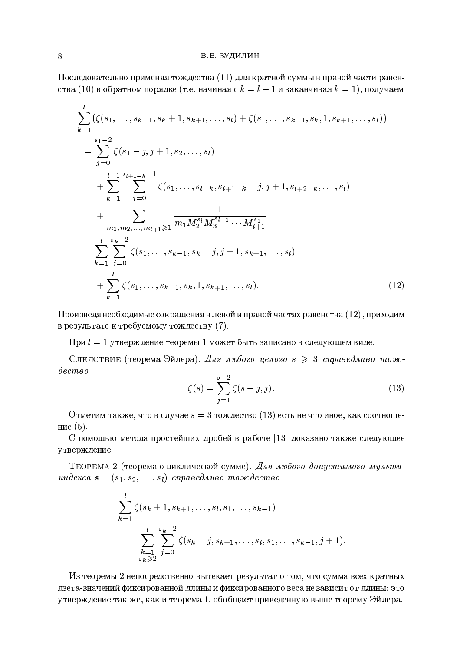#### В.В. ЗУДИЛИН

Последовательно применяя тождества (11) для кратной суммы в правой части равенства (10) в обратном порядке (т.е. начиная с  $k = l - 1$  и заканчивая  $k = 1$ ), получаем

$$
\sum_{k=1}^{l} (\zeta(s_1, \ldots, s_{k-1}, s_k + 1, s_{k+1}, \ldots, s_l) + \zeta(s_1, \ldots, s_{k-1}, s_k, 1, s_{k+1}, \ldots, s_l))
$$
\n
$$
= \sum_{j=0}^{s_1-2} \zeta(s_1 - j, j + 1, s_2, \ldots, s_l)
$$
\n
$$
+ \sum_{k=1}^{l-1} \sum_{j=0}^{s_{l+1-k}-1} \zeta(s_1, \ldots, s_{l-k}, s_{l+1-k} - j, j + 1, s_{l+2-k}, \ldots, s_l)
$$
\n
$$
+ \sum_{m_1, m_2, \ldots, m_{l+1} \geq 1} \frac{1}{m_1 M_2^{s_l} M_3^{s_{l-1}} \cdots M_{l+1}^{s_1}} \newline = \sum_{k=1}^{l} \sum_{j=0}^{s_k-2} \zeta(s_1, \ldots, s_{k-1}, s_k - j, j + 1, s_{k+1}, \ldots, s_l)
$$
\n
$$
+ \sum_{k=1}^{l} \zeta(s_1, \ldots, s_{k-1}, s_k, 1, s_{k+1}, \ldots, s_l).
$$
\n(12)

Произведя необходимые сокращения в левой и правой частях равенства  $(12)$ , приходим в результате к требуемому тождеству (7).

При  $l = 1$  утверждение теоремы 1 может быть записано в следующем виде.

Следствие (теорема Эйлера). Для любого целого  $s \geq 3$  справедливо тож- $\partial e$ cmeo  $c = 2$ 

$$
\zeta(s) = \sum_{j=1}^{s-2} \zeta(s-j,j). \tag{13}
$$

Отметим также, что в случае  $s = 3$  тождество (13) есть не что иное, как соотношение  $(5)$ .

С помощью метода простейших дробей в работе [13] доказано также следующее утверждение.

Теорема 2 (теорема о циклической сумме). Для любого допустимого мультиunderca  $\mathbf{s} = (s_1, s_2, \ldots, s_l)$  cnpased *nuso* moxed ecmos

$$
\sum_{k=1}^{l} \zeta(s_k + 1, s_{k+1}, \dots, s_l, s_1, \dots, s_{k-1})
$$
\n
$$
= \sum_{\substack{k=1 \ s_k \geq 2}}^{l} \sum_{j=0}^{s_k - 2} \zeta(s_k - j, s_{k+1}, \dots, s_l, s_1, \dots, s_{k-1}, j+1)
$$

Из теоремы 2 непосредственно вытекает результат о том, что сумма всех кратных дзета-значений фиксированной длины и фиксированного веса не зависит от длины; это утверждение так же, как и теорема 1, обобщает приведенную выше теорему Эйлера.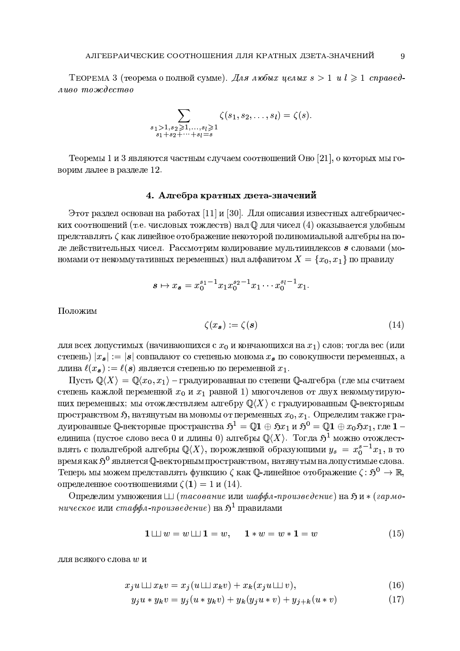ТЕОРЕМА 3 (теорема о полной сумме). Для любых целых  $s > 1$  и  $l \geq 1$  справедливо тождество

$$
\sum_{\substack{s_1 > 1, s_2 \geq 1, \ldots, s_l \geq 1 \\ s_1 + s_2 + \cdots + s_l = s}} \zeta(s_1, s_2, \ldots, s_l) = \zeta(s).
$$

Теоремы 1 и 3 являются частным случаем соотношений Оно [21], о которых мы говорим далее в разделе 12.

# 4. Алгебра кратных дзета-значений

Этот раздел основан на работах [11] и [30]. Для описания известных алгебраических соотношений (т.е. числовых тождеств) над  $\mathbb Q$  для чисел (4) оказывается удобным представлять (как линейное отображение некоторой полиномиальной алгебры на поле действительных чисел. Рассмотрим кодирование мультииндексов *s* словами (мономами от некоммутативных переменных) над алфавитом  $X = \{x_0, x_1\}$  по правилу

$$
s \mapsto x_{s} = x_{0}^{s_{1}-1} x_{1} x_{0}^{s_{2}-1} x_{1} \cdots x_{0}^{s_{l}-1} x_{1}
$$

Положим

$$
\zeta(x_s) := \zeta(s) \tag{14}
$$

для всех допустимых (начинающихся с  $x_0$  и кончающихся на  $x_1$ ) слов; тогда вес (или степень)  $|x_s| := |s|$  совпадают со степенью монома  $x_s$  по совокупности переменных, а длина  $\ell(x_s) := \ell(s)$  является степенью по переменной  $x_1$ .

Пусть  $\mathbb{Q}\langle X\rangle = \mathbb{Q}\langle x_0, x_1\rangle$  – градуированная по степени  $\mathbb{Q}$ -алгебра (где мы считаем степень каждой переменной  $x_0$  и  $x_1$  равной 1) многочленов от двух некоммутирующих переменных; мы отождествляем алгебру  $\mathbb{Q}\langle X\rangle$  с градуированным Q-векторным пространством  $\mathfrak{H}$ , натянутым на мономы от переменных  $x_0, x_1$ . Определим также градуированные Q-векторные пространства  $\mathfrak{H}^1 = \mathbb{Q} \mathbf{1} \oplus \mathfrak{H} x_1$  и  $\mathfrak{H}^0 = \mathbb{Q} \mathbf{1} \oplus x_0 \mathfrak{H} x_1$ , где  $\mathbf{1}$  – единица (пустое слово веса 0 и длины 0) алгебры  $\mathbb{Q}\langle X\rangle$ . Тогда  $\mathfrak{H}^1$  можно отождествлять с подалгеброй алгебры  $\mathbb{Q}\langle X\rangle$ , порожденной образующими  $y_s = x_0^{s-1}x_1$ , в то время как  $\mathfrak{H}^0$  является  $\mathbb{Q}$ -векторным пространством, натянутым на допустимые слова. Теперь мы можем представлять функцию  $\zeta$  как Q-линейное отображение  $\zeta: \mathfrak{H}^0 \to \mathbb{R}$ , определенное соотношениями  $\zeta(1) = 1$  и  $(14)$ .

Определим умножения  $\Box$  (*тасование* или *шаффл-произведение*) на  $\mathfrak{H}$  и  $\ast$  (*гармо*ническое или стаффл-произведение) на  $\mathfrak{H}^1$  правилами

$$
1 \sqcup \sqcup w = w \sqcup \sqcup 1 = w, \quad 1 \ast w = w \ast 1 = w \tag{15}
$$

для всякого слова  $w$  и

$$
x_j u \sqcup \!\!\!\perp x_k v = x_j (u \sqcup \!\!\!\perp x_k v) + x_k (x_j u \sqcup \!\!\!\perp v), \tag{16}
$$

$$
y_j u * y_k v = y_j (u * y_k v) + y_k (y_j u * v) + y_{j+k} (u * v)
$$
\n(17)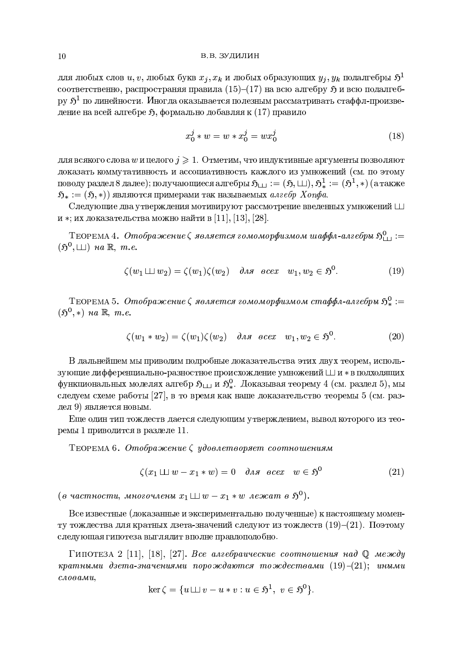#### В.В. ЗУДИЛИН

для любых слов $u,v,$ любых букв $x_j,x_k$ и любых образующих $y_j,y_k$ подалгебры $\mathfrak H^1$ соответственно, распространяя правила  $(15)$ - $(17)$  на всю алгебру  $\mathfrak{H}$  и всю подалгебру  $\mathfrak{H}^1$  по линейности. Иногда оказывается полезным рассматривать стаффл-произведение на всей алгебре 5, формально добавляя к (17) правило

$$
x_0^j * w = w * x_0^j = w x_0^j \tag{18}
$$

для всякого слова  $w$  и целого  $j \geqslant 1$ . Отметим, что индуктивные аргументы позволяют доказать коммутативность и ассоциативность каждого из умножений (см. по этому поводу раздел 8 далее); получающиеся алгебры  $\mathfrak{H}_{111} := (\mathfrak{H}, \sqcup \sqcup), \mathfrak{H}^1_* := (\mathfrak{H}^1, *)$  (а также  $\mathfrak{H}_* := (\mathfrak{H}, *)$ ) являются примерами так называемых *алгебр Хопфа*.

Следующие два утверждения мотивируют рассмотрение введенных умножений Ш и \*; их доказательства можно найти в [11], [13], [28].

ТЕОРЕМА 4. Отображение  $\zeta$  является гомоморфизмом шаффл-алгебры  $\mathfrak{H}^0_{++}$ :=  $(\mathfrak{H}^0, \perp\!\!\!\perp)$  *na*  $\mathbb{R}, m.e.$ 

$$
\zeta(w_1 \sqcup \sqcup w_2) = \zeta(w_1)\zeta(w_2) \quad \text{and } \sec x \quad w_1, w_2 \in \mathfrak{H}^0. \tag{19}
$$

ТЕОРЕМА 5. Отображение  $\zeta$  является гомоморфизмом стаффл-алгебры  $\mathfrak{H}^0_* :=$  $(\mathfrak{H}^0,*)$  *na*  $\mathbb{R}, m.e.$ 

$$
\zeta(w_1 * w_2) = \zeta(w_1)\zeta(w_2) \quad \text{and } \sec x \quad w_1, w_2 \in \mathfrak{H}^0. \tag{20}
$$

В дальнейшем мы приводим подробные доказательства этих двух теорем, использующие дифференциально-разностное происхождение умножений Ши \* в подходящих функциональных моделях алгебр  $\mathfrak{H}_{\square}$  и  $\mathfrak{H}_{*}^{0}$ . Доказывая теорему 4 (см. раздел 5), мы следуем схеме работы [27], в то время как наше доказательство теоремы 5 (см. раздел 9) является новым.

Еще один тип тождеств дается следующим утверждением, вывод которого из теоремы 1 приводится в разделе 11.

ТЕОРЕМА 6. Отображение  $\zeta$  удовлетворяет соотношениям

$$
\zeta(x_1 \sqcup \sqcup w - x_1 * w) = 0 \quad \text{and} \quad \text{ocex} \quad w \in \mathfrak{H}^0 \tag{21}
$$

(в частности, многочлены  $x_1 \sqcup \sqcup w - x_1 * w$  лежат в  $\mathfrak{H}^0$ ).

Все известные (доказанные и экспериментально полученные) к настоящему моменту тождества для кратных дзета-значений следуют из тождеств  $(19)-(21)$ . Поэтому следующая гипотеза выглядит вполне правдоподобно.

Гипотеза 2 [11], [18], [27]. Все алгебраические соотношения над  $\mathbb Q$  между кратными дзета-значениями порождаются тождествами  $(19)-(21)$ ; иными  $c_{A0}$ *a* $a$  $u$ ,

$$
\ker \zeta = \{ u \sqcup \sqcup v - u * v : u \in \mathfrak{H}^1, v \in \mathfrak{H}^0 \}.
$$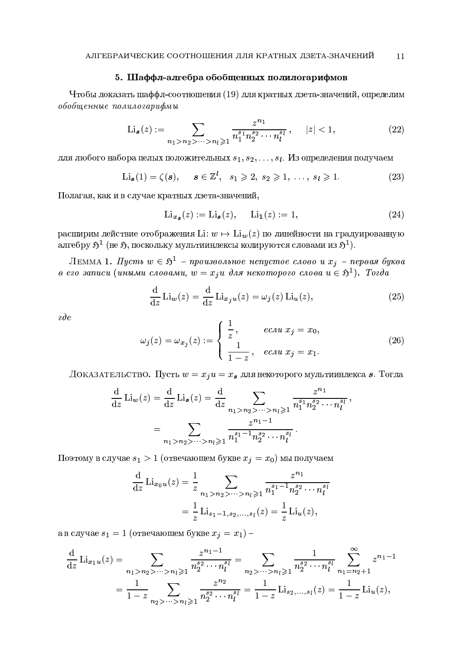# 5. Шаффл-алгебра обобщенных полилогарифмов

Чтобы доказать шаффл-соотношения (19) для кратных дзета-значений, определим обобщенные полилогарифмы

$$
\text{Li}_{\mathbf{s}}(z) := \sum_{n_1 > n_2 > \dots > n_l \geqslant 1} \frac{z^{n_1}}{n_1^{s_1} n_2^{s_2} \cdots n_l^{s_l}}, \quad |z| < 1,\tag{22}
$$

для любого набора целых положительных  $s_1, s_2, \ldots, s_l$ . Из определения получаем

$$
\text{Li}_{\mathbf{s}}(1) = \zeta(\mathbf{s}), \quad \mathbf{s} \in \mathbb{Z}^l, \ \ s_1 \geqslant 2, \ s_2 \geqslant 1, \ \ldots, \ s_l \geqslant 1. \tag{23}
$$

Полагая, как и в случае кратных дзета-значений,

$$
\operatorname{Li}_{x_{\mathcal{S}}}(z) := \operatorname{Li}_{\mathcal{S}}(z), \qquad \operatorname{Li}_{1}(z) := 1,\tag{24}
$$

расширим действие отображения Li:  $w \mapsto \text{Li}_w(z)$  по линейности на градуированную алгебру  $\mathfrak{H}^1$  (не  $\mathfrak{H}$ , поскольку мультииндексы кодируются словами из  $\mathfrak{H}^1$ ).

ЛЕММА 1. Пусть  $w \in \mathfrak{H}^1$  - произвольное непустое слово и  $x_j$  - первая буква в его записи (иными словами,  $w = x_j u$  для некоторого слова  $u \in \mathfrak{H}^1$ ). Тогда

$$
\frac{\mathrm{d}}{\mathrm{d}z} \text{Li}_w(z) = \frac{\mathrm{d}}{\mathrm{d}z} \text{Li}_{x_j u}(z) = \omega_j(z) \text{Li}_u(z),\tag{25}
$$

 $\partial e$ 

$$
\omega_j(z) = \omega_{x_j}(z) := \begin{cases} \frac{1}{z}, & e \text{ and } x_j = x_0, \\ \frac{1}{1-z}, & e \text{ and } x_j = x_1. \end{cases}
$$
 (26)

ДОКАЗАТЕЛЬСТВО. Пусть  $w = x_j u = x_s$  для некоторого мультииндекса *s*. Тогда

$$
\frac{d}{dz} \text{Li}_{w}(z) = \frac{d}{dz} \text{Li}_{s}(z) = \frac{d}{dz} \sum_{n_1 > n_2 > \dots > n_l \ge 1} \frac{z^{n_1}}{n_1^{s_1} n_2^{s_2} \cdots n_l^{s_l}},
$$

$$
= \sum_{n_1 > n_2 > \dots > n_l \ge 1} \frac{z^{n_1 - 1}}{n_1^{s_1 - 1} n_2^{s_2} \cdots n_l^{s_l}}.
$$

Поэтому в случае  $s_1 > 1$  (отвечающем букве  $x_i = x_0$ ) мы получаем

$$
\frac{\mathrm{d}}{\mathrm{d}z} \mathrm{Li}_{x_0u}(z) = \frac{1}{z} \sum_{n_1 > n_2 > \dots > n_l \geq 1} \frac{z^{n_1}}{n_1^{s_1 - 1} n_2^{s_2} \cdots n_l^{s_l}}
$$

$$
= \frac{1}{z} \mathrm{Li}_{s_1 - 1, s_2, \dots, s_l}(z) = \frac{1}{z} \mathrm{Li}_u(z),
$$

а в случае $s_1 = 1$  (отвечающем букве $x_j = x_1)$  –

$$
\frac{\mathrm{d}}{\mathrm{d}z} \mathrm{Li}_{x_1u}(z) = \sum_{n_1 > n_2 > \dots > n_l \geq 1} \frac{z^{n_1 - 1}}{n_2^{s_2} \cdots n_l^{s_l}} = \sum_{n_2 > \dots > n_l \geq 1} \frac{1}{n_2^{s_2} \cdots n_l^{s_l}} \sum_{n_1 = n_2 + 1}^{\infty} z^{n_1 - 1}
$$
\n
$$
= \frac{1}{1 - z} \sum_{n_2 > \dots > n_l \geq 1} \frac{z^{n_2}}{n_2^{s_2} \cdots n_l^{s_l}} = \frac{1}{1 - z} \mathrm{Li}_{s_2, \dots, s_l}(z) = \frac{1}{1 - z} \mathrm{Li}_u(z),
$$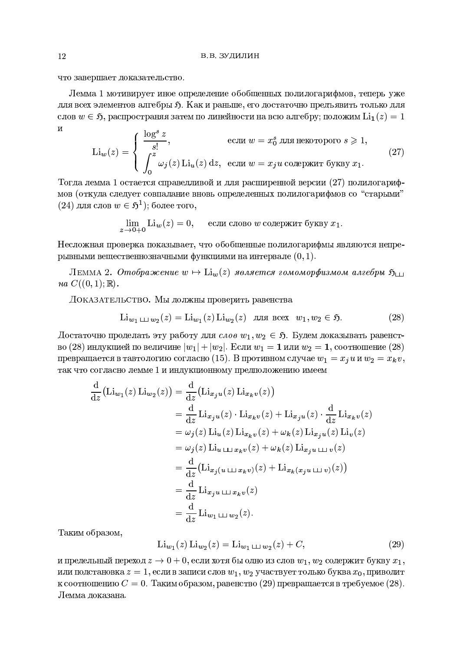что завершает доказательство.

Лемма 1 мотивирует иное определение обобщенных полилогарифмов, теперь уже для всех элементов алгебры  $\mathfrak{H}$ . Как и раньше, его достаточно предъявить только для слов  $w \in \mathfrak{H}$ , распространяя затем по линейности на всю алгебру; положим  $\text{Li}_1(z) = 1$  $\mathbf{M}$  $\mathbf{1}$   $\mathbf{S}$ 

$$
\operatorname{Li}_{w}(z) = \begin{cases} \frac{\log^{2} z}{s!}, & \text{ecum } w = x_{0}^{s} \text{ для некогорого } s \geq 1, \\ \int_{0}^{z} \omega_{j}(z) \operatorname{Li}_{u}(z) dz, & \text{ecmu } w = x_{j} u \text{ содержит 6yкby } x_{1}. \end{cases}
$$
(27)

Тогда лемма 1 остается справедливой и для расширенной версии (27) полилогарифмов (откуда следует совпадание вновь определенных полилогарифмов со "старыми"  $(24)$  для слов  $w \in \mathfrak{H}^1$ ; более того,

$$
\lim_{z \to 0+0} \text{Li}_w(z) = 0, \quad \text{если слово } w \text{ содержит букву } x_1.
$$

Несложная проверка показывает, что обобщенные полилогарифмы являются непрерывными вещественнозначными функциями на интервале  $(0, 1)$ .

ЛЕММА 2. Отображение  $w \mapsto \text{Li}_w(z)$  является гомоморфизмом алгебры  $\mathfrak{H}_{\square}$  $na C((0,1); \mathbb{R}).$ 

ДОКАЗАТЕЛЬСТВО. Мы должны проверить равенства

$$
\text{Li}_{w_1 \perp \perp w_2}(z) = \text{Li}_{w_1}(z) \text{Li}_{w_2}(z) \quad \text{and } \text{BceX} \quad w_1, w_2 \in \mathfrak{H}. \tag{28}
$$

Достаточно проделать эту работу для слов  $w_1, w_2 \in \mathfrak{H}$ . Будем доказывать равенство (28) индукцией по величине  $|w_1| + |w_2|$ . Если  $w_1 = 1$  или  $w_2 = 1$ , соотношение (28) превращается в тавтологию согласно (15). В противном случае  $w_1 = x_i u$  и  $w_2 = x_k v$ , так что согласно лемме 1 и индукционному предположению имеем

$$
\frac{d}{dz} (\text{Li}_{w_1}(z) \text{Li}_{w_2}(z)) = \frac{d}{dz} (\text{Li}_{x_j u}(z) \text{Li}_{x_k v}(z))
$$
\n
$$
= \frac{d}{dz} \text{Li}_{x_j u}(z) \cdot \text{Li}_{x_k v}(z) + \text{Li}_{x_j u}(z) \cdot \frac{d}{dz} \text{Li}_{x_k v}(z)
$$
\n
$$
= \omega_j(z) \text{Li}_u(z) \text{Li}_{x_k v}(z) + \omega_k(z) \text{Li}_{x_j u}(z) \text{Li}_v(z)
$$
\n
$$
= \omega_j(z) \text{Li}_{u \sqcup x_k v}(z) + \omega_k(z) \text{Li}_{x_j u \sqcup v}(z)
$$
\n
$$
= \frac{d}{dz} (\text{Li}_{x_j(u \sqcup x_k v)}(z) + \text{Li}_{x_k(x_j u \sqcup v)}(z))
$$
\n
$$
= \frac{d}{dz} \text{Li}_{x_j u \sqcup x_k v}(z)
$$
\n
$$
= \frac{d}{dz} \text{Li}_{w_1 \sqcup w_2}(z).
$$

Таким образом,

$$
\text{Li}_{w_1}(z) \text{Li}_{w_2}(z) = \text{Li}_{w_1 \perp \perp w_2}(z) + C,\tag{29}
$$

и предельный переход  $z \to 0 + 0$ , если хотя бы одно из слов  $w_1, w_2$  содержит букву  $x_1$ , или подстановка  $z = 1$ , если в записи слов  $w_1, w_2$  участвует только буква  $x_0$ , приводит к соотношению  $C=0$ . Таким образом, равенство (29) превращается в требуемое (28). Лемма локазана.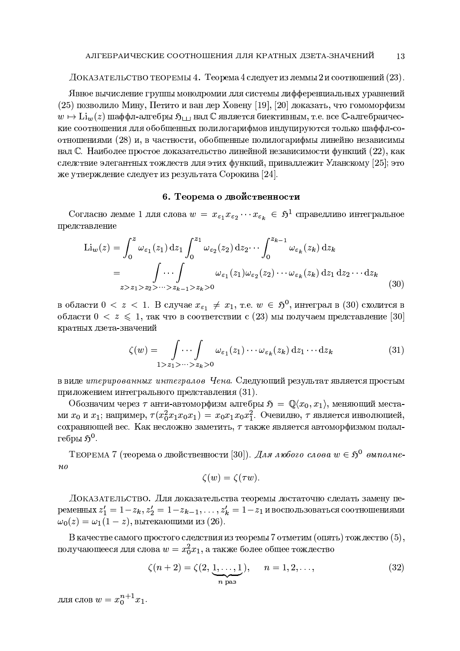ДОКАЗАТЕЛЬСТВО ТЕОРЕМЫ 4. Теорема 4 следует из леммы 2 и соотношений  $(23)$ .

Явное вычисление группы монодромии для системы дифференциальных уравнений (25) позволило Мину, Петито и ван дер Ховену [19], [20] доказать, что гомоморфизм  $w \mapsto \text{Li}_{w}(z)$  шаффл-алгебры  $\mathfrak{H}_{\text{L1}}$ над  $\mathbb C$  является биективным, т.е. все  $\mathbb C$ -алгебраические соотношения для обобщенных полилогарифмов индуцируются только шаффл-соотношениями (28) и, в частности, обобщенные полилогарифмы линейно независимы над С. Наиболее простое доказательство линейной независимости функций (22), как следствие элегантных тождеств для этих функций, принадлежит Уланскому [25]; это же утверждение следует из результата Сорокина [24].

## 6. Теорема о двойственности

Согласно лемме 1 для слова  $w = x_{\varepsilon_1} x_{\varepsilon_2} \cdots x_{\varepsilon_k} \in \mathfrak{H}^1$  справедливо интегральное представление

$$
\text{Li}_{w}(z) = \int_{0}^{z} \omega_{\varepsilon_{1}}(z_{1}) \,dz_{1} \int_{0}^{z_{1}} \omega_{\varepsilon_{2}}(z_{2}) \,dz_{2} \cdots \int_{0}^{z_{k-1}} \omega_{\varepsilon_{k}}(z_{k}) \,dz_{k}
$$
\n
$$
= \int_{z > z_{1} > z_{2} > \cdots > z_{k-1} > z_{k} > 0} \omega_{\varepsilon_{1}}(z_{1}) \omega_{\varepsilon_{2}}(z_{2}) \cdots \omega_{\varepsilon_{k}}(z_{k}) \,dz_{1} \,dz_{2} \cdots dz_{k}
$$
\n(30)

в области 0 <  $z$  < 1. В случае  $x_{\varepsilon_1} \neq x_1$ , т.е.  $w \in \mathfrak{H}^0$ , интеграл в (30) сходится в области  $0 < z \leq 1$ , так что в соответствии с (23) мы получаем представление [30] кратных дзета-значений

$$
\zeta(w) = \int \cdots \int \omega_{\varepsilon_1}(z_1) \cdots \omega_{\varepsilon_k}(z_k) dz_1 \cdots dz_k
$$
\n
$$
1 > z_1 > \cdots > z_k > 0
$$
\n(31)

в виде итерированных интегралов Чена. Следующий результат является простым приложением интегрального представления (31).

Обозначим через  $\tau$  анти-автоморфизм алгебры  $\mathfrak{H} = \mathbb{Q}\langle x_0, x_1 \rangle$ , меняющий местами  $x_0$  и  $x_1$ ; например,  $\tau(x_0^2x_1x_0x_1) = x_0x_1x_0x_1^2$ . Очевидно,  $\tau$  является инволюцией, сохраняющей вес. Как несложно заметить, т также является автоморфизмом подалгебры  $5^0$ .

ТЕОРЕМА 7 (теорема о двойственности [30]). Для любого слова  $w \in \mathfrak{H}^0$  выполне- $\mu$ o

$$
\zeta(w) = \zeta(\tau w).
$$

ДОКАЗАТЕЛЬСТВО. Для доказательства теоремы достаточно сделать замену переменных  $z'_1 = 1 - z_k, z'_2 = 1 - z_{k-1}, \ldots, z'_k = 1 - z_1$  и воспользоваться соотношениями  $\omega_0(z) = \omega_1(1-z)$ , вытекающими из (26).

В качестве самого простого следствия из теоремы 7 отметим (опять) тождество  $(5)$ . получающееся для слова  $w = x_0^2 x_1$ , а также более общее тождество

$$
\zeta(n+2) = \zeta(2, \underbrace{1, \dots, 1}_{n \text{ pas}}), \qquad n = 1, 2, \dots,
$$
\n(32)

для слов  $w = x_0^{n+1} x_1$ .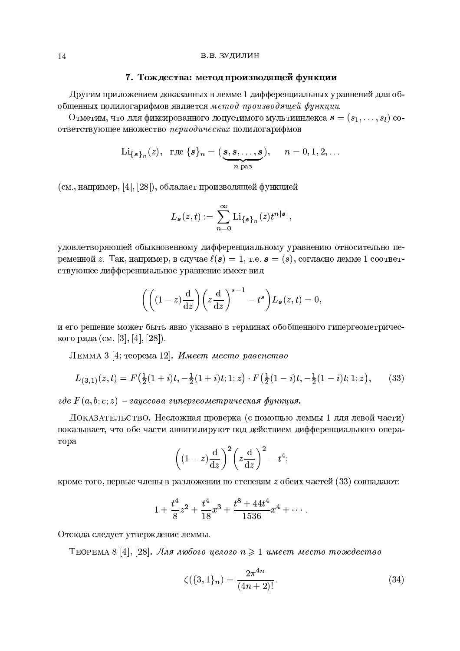## 7. Тождества: метод производящей функции

Другим приложением доказанных в лемме 1 дифференциальных уравнений для обобщенных полилогарифмов является метод производящей функции.

Отметим, что для фиксированного допустимого мультииндекса  $\mathbf{s} = (s_1, \ldots, s_l)$  соответствующее множество периодических полилогарифмов

$$
\mathrm{Li}_{\{\boldsymbol{s}\}_n}(z), \quad \mathrm{rge}\ \{\boldsymbol{s}\}_n = (\underbrace{\boldsymbol{s}, \boldsymbol{s}, \ldots, \boldsymbol{s}}_{n \text{ pas}}), \qquad n = 0, 1, 2, \ldots
$$

(см., например, [4], [28]), обладает производящей функцией

$$
L_{\mathbf{s}}(z,t):=\sum_{n=0}^{\infty} \text{Li}_{\{\mathbf{s}\}_n}(z)t^{n|\mathbf{s}|},
$$

удовлетворяющей обыкновенному дифференциальному уравнению относительно переменной z. Так, например, в случае  $\ell(s) = 1$ , т.е.  $s = (s)$ , согласно лемме 1 соответствующее дифференциальное уравнение имеет вид

$$
\left( \left( (1-z)\frac{\mathrm{d}}{\mathrm{d}z} \right) \left( z\frac{\mathrm{d}}{\mathrm{d}z} \right)^{s-1} - t^s \right) L_s(z,t) = 0,
$$

и его решение может быть явно указано в терминах обобщенного гипергеометрического ряда (см. [3], [4], [28]).

ЛЕММА 3 [4; теорема 12]. Имеет место равенство

$$
L_{(3,1)}(z,t) = F\left(\frac{1}{2}(1+i)t, -\frac{1}{2}(1+i)t; 1; z\right) \cdot F\left(\frac{1}{2}(1-i)t, -\frac{1}{2}(1-i)t; 1; z\right),\tag{33}
$$

 $\overline{e}$   $\overline{e}$   $F(a, b; c; z)$  – гауссова гипергеометрическая функция.

ДОКАЗАТЕЛЬСТВО. Несложная проверка (с помощью леммы 1 для левой части) показывает, что обе части аннигилируют под действием дифференциального оператора

$$
\left((1-z)\frac{\mathrm{d}}{\mathrm{d}z}\right)^2 \left(z\frac{\mathrm{d}}{\mathrm{d}z}\right)^2 - t^4;
$$

кроме того, первые члены в разложении по степеням  $z$  обеих частей (33) совпадают:

$$
1 + \frac{t^4}{8}z^2 + \frac{t^4}{18}x^3 + \frac{t^8 + 44t^4}{1536}x^4 + \cdots
$$

Отсюда следует утверждение леммы.

ТЕОРЕМА 8 [4], [28]. Для любого целого  $n \geq 1$  имеет место тождество

$$
\zeta(\{3,1\}_n) = \frac{2\pi^{4n}}{(4n+2)!} \,. \tag{34}
$$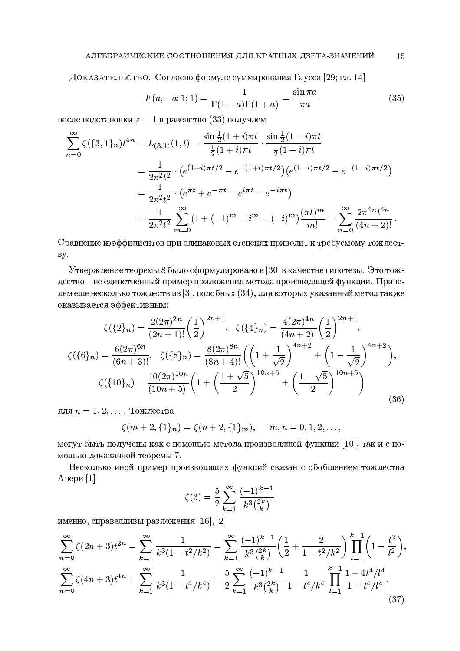# АЛГЕБРАИЧЕСКИЕ СООТНОШЕНИЯ ДЛЯ КРАТНЫХ ДЗЕТА-ЗНАЧЕНИЙ

Доказательство. Согласно формуле суммирования Гаусса [29; гл. 14]

$$
F(a, -a; 1; 1) = \frac{1}{\Gamma(1-a)\Gamma(1+a)} = \frac{\sin \pi a}{\pi a}
$$
(35)

после подстановки  $z = 1$  в равенство (33) получаем

$$
\sum_{n=0}^{\infty} \zeta(\{3,1\}_n)t^{4n} = L_{(3,1)}(1,t) = \frac{\sin\frac{1}{2}(1+i)\pi t}{\frac{1}{2}(1+i)\pi t} \cdot \frac{\sin\frac{1}{2}(1-i)\pi t}{\frac{1}{2}(1-i)\pi t}
$$

$$
= \frac{1}{2\pi^2 t^2} \cdot \left(e^{(1+i)\pi t/2} - e^{-(1+i)\pi t/2}\right) \left(e^{(1-i)\pi t/2} - e^{-(1-i)\pi t/2}\right)
$$

$$
= \frac{1}{2\pi^2 t^2} \cdot \left(e^{\pi t} + e^{-\pi t} - e^{i\pi t} - e^{-i\pi t}\right)
$$

$$
= \frac{1}{2\pi^2 t^2} \sum_{m=0}^{\infty} (1 + (-1)^m - i^m - (-i)^m) \frac{(\pi t)^m}{m!} = \sum_{n=0}^{\infty} \frac{2\pi^{4n} t^{4n}}{(4n+2)!}.
$$

Сравнение коэффициентов при одинаковых степенях приводит к требуемому тождест-By.

Утверждение теоремы 8 было сформулировано в [30] в качестве гипотезы. Это тождество - не единственный пример приложения метода производящей функции. Приведем еще несколько тождеств из [3], подобных  $(34)$ , для которых указанный метод также оказывается эффективным:

$$
\zeta(\{2\}_n) = \frac{2(2\pi)^{2n}}{(2n+1)!} \left(\frac{1}{2}\right)^{2n+1}, \quad \zeta(\{4\}_n) = \frac{4(2\pi)^{4n}}{(4n+2)!} \left(\frac{1}{2}\right)^{2n+1},
$$

$$
\zeta(\{6\}_n) = \frac{6(2\pi)^{6n}}{(6n+3)!}, \quad \zeta(\{8\}_n) = \frac{8(2\pi)^{8n}}{(8n+4)!} \left(\left(1 + \frac{1}{\sqrt{2}}\right)^{4n+2} + \left(1 - \frac{1}{\sqrt{2}}\right)^{4n+2}\right),
$$

$$
\zeta(\{10\}_n) = \frac{10(2\pi)^{10n}}{(10n+5)!} \left(1 + \left(\frac{1+\sqrt{5}}{2}\right)^{10n+5} + \left(\frac{1-\sqrt{5}}{2}\right)^{10n+5}\right)
$$
(36)

для  $n = 1, 2, \ldots$  Тождества

$$
\zeta(m+2,\{1\}_n)=\zeta(n+2,\{1\}_m), \quad m,n=0,1,2,\ldots,
$$

могут быть получены как с помощью метода производящей функции [10], так и с помощью доказанной теоремы 7.

Несколько иной пример производящих функций связан с обобщением тождества Апери  $[1]$ 

$$
\zeta(3) = \frac{5}{2} \sum_{k=1}^{\infty} \frac{(-1)^{k-1}}{k^3 \binom{2k}{k}};
$$

именно, справедливы разложения [16], [2]

$$
\sum_{n=0}^{\infty} \zeta(2n+3)t^{2n} = \sum_{k=1}^{\infty} \frac{1}{k^3(1-t^2/k^2)} = \sum_{k=1}^{\infty} \frac{(-1)^{k-1}}{k^3\binom{2k}{k}} \left(\frac{1}{2} + \frac{2}{1-t^2/k^2}\right) \prod_{l=1}^{k-1} \left(1 - \frac{t^2}{l^2}\right).
$$
  

$$
\sum_{n=0}^{\infty} \zeta(4n+3)t^{4n} = \sum_{k=1}^{\infty} \frac{1}{k^3(1-t^4/k^4)} = \frac{5}{2} \sum_{k=1}^{\infty} \frac{(-1)^{k-1}}{k^3\binom{2k}{k}} \frac{1}{1-t^4/k^4} \prod_{l=1}^{k-1} \frac{1+4t^4/l^4}{1-t^4/l^4}.
$$
  
(37)

15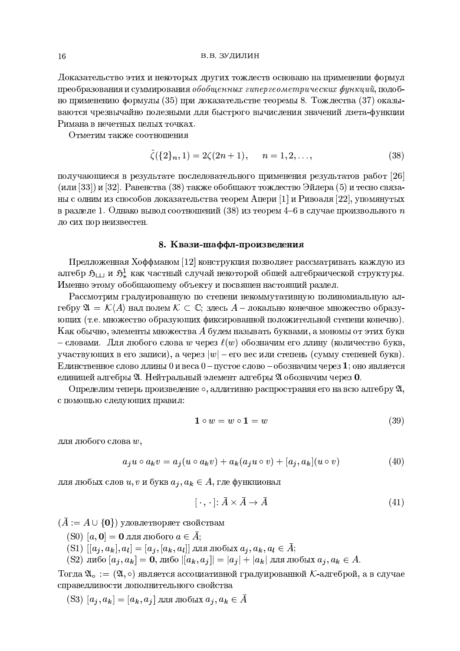Доказательство этих и некоторых других тождеств основано на применении формул преобразования и суммирования обобщенных гипергеометрических функций, подобно применению формулы (35) при доказательстве теоремы 8. Тождества (37) оказываются чрезвычайно полезными для быстрого вычисления значений дзета-функции Римана в нечетных пелых точках.

Отметим также соотношения

$$
\zeta(\{2\}_n, 1) = 2\zeta(2n+1), \quad n = 1, 2, \dots,
$$
\n(38)

получающиеся в результате последовательного применения результатов работ [26] (или [33]) и [32]. Равенства (38) также обобщают тождество Эйлера (5) и тесно связаны с одним из способов доказательства теорем Апери [1] и Ривоаля [22], упомянутых в разделе 1. Однако вывод соотношений (38) из теорем 4–6 в случае произвольного  $n$ до сих пор неизвестен.

#### 8. Квази-шаффл-произведения

Предложенная Хоффманом [12] конструкция позволяет рассматривать каждую из алгебр  $\mathfrak{H}_{\sqcup}$  и  $\mathfrak{H}^1_*$  как частный случай некоторой общей алгебраической структуры. Именно этому обобщающему объекту и посвящен настоящий раздел.

Рассмотрим градуированную по степени некоммутативную полиномиальную алгебру  $\mathfrak{A} = \mathcal{K}(A)$  над полем  $\mathcal{K} \subset \mathbb{C}$ ; здесь  $A$  – локально конечное множество образующих (т.е. множество образующих фиксированной положительной степени конечно). Как обычно, элементы множества  $A$  будем называть буквами, а мономы от этих букв - словами. Для любого слова w через  $\ell(w)$  обозначим его длину (количество букв, участвующих в его записи), а через  $|w|$  – его вес или степень (сумму степеней букв). Единственное слово длины 0 и веса 0 – пустое слово – обозначим через 1; оно является единицей алгебры  $\mathfrak{A}$ . Нейтральный элемент алгебры  $\mathfrak{A}$  обозначим через 0.

Определим теперь произведение  $\circ$ , аддитивно распространяя его на всю алгебру 2, с помощью следующих правил:

$$
1 \circ w = w \circ 1 = w \tag{39}
$$

для любого слова w,

$$
a_j u \circ a_k v = a_j (u \circ a_k v) + a_k (a_j u \circ v) + [a_j, a_k](u \circ v)
$$
\n
$$
(40)
$$

для любых слов  $u, v$  и букв  $a_j, a_k \in A$ , где функционал

$$
[\cdot\,,\cdot\,]\colon \bar{A}\times\bar{A}\to\bar{A}\tag{41}
$$

 $(\bar{A} := A \cup \{0\})$  удовлетворяет свойствам

- $(S0)$  [a, 0] = 0 для любого  $a \in \overline{A}$ ;
- (S1)  $[[a_j, a_k], a_l] = [a_j, [a_k, a_l]]$ для любых $a_j, a_k, a_l \in \overline{A};$
- $($ S2) либо  $[a_j, a_k] = 0$ , либо  $|[a_k, a_j]| = |a_j| + |a_k|$  для любых  $a_j, a_k \in A$ .

Тогда  $\mathfrak{A}_{\circ} := (\mathfrak{A}, \circ)$  является ассоциативной градуированной К-алгеброй, а в случае справедливости дополнительного свойства

 $($ S3)  $[a_j, a_k] = [a_k, a_j]$  для любых  $a_j, a_k \in \bar{A}$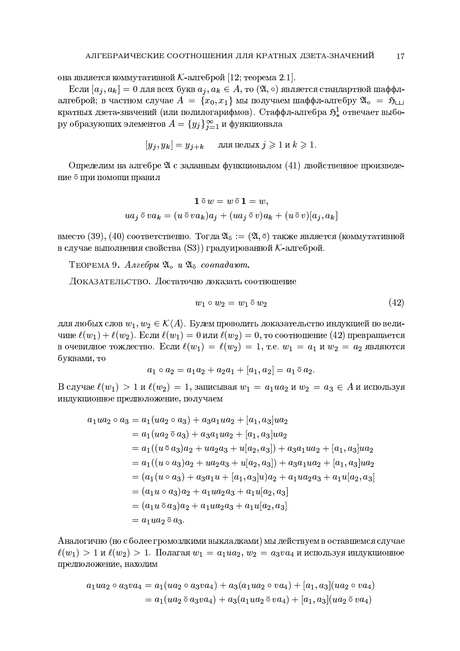она является коммутативной К-алгеброй [12; теорема 2.1].

Если  $[a_i, a_k] = 0$  для всех букв  $a_i, a_k \in A$ , то  $(\mathfrak{A}, \circ)$  является стандартной шаффлалгеброй; в частном случае  $A = \{x_0, x_1\}$  мы получаем шаффл-алгебру  $\mathfrak{A}_{\alpha} = \mathfrak{H}_{\square}$ кратных дзета-значений (или полилогарифмов). Стаффл-алгебра  $\mathfrak{H}^1_*$  отвечает выбору образующих элементов  $A = \{y_j\}_{j=1}^{\infty}$  и функционала

$$
[y_j, y_k] = y_{j+k} \quad \text{ and density } j \geqslant 1 \text{ is } k \geqslant 1.
$$

Определим на алгебре 24 с заданным функционалом (41) двойственное произведение  $\bar{\circ}$  при помощи правил

$$
\mathbf{1} \,\overline{\circ}\, w = w \,\overline{\circ}\, \mathbf{1} = w,
$$
  

$$
ua_j \,\overline{\circ}\, va_k = (u \,\overline{\circ}\, va_k)a_j + (ua_j \,\overline{\circ}\, v)a_k + (u \,\overline{\circ}\, v)[a_j, a_k]
$$

вместо (39), (40) соответственно. Тогда  $\mathfrak{A}_{\bar{o}} := (\mathfrak{A}, \bar{o})$  также является (коммутативной в случае выполнения свойства (S3)) градуированной  $K$ -алгеброй.

ТЕОРЕМА 9. Алгебры  $\mathfrak{A}_{\alpha} u \mathfrak{A}_{\overline{\alpha}}$  совпадают.

ДОКАЗАТЕЛЬСТВО. Достаточно доказать соотношение

$$
w_1 \circ w_2 = w_1 \bar{\circ} w_2 \tag{42}
$$

для любых слов  $w_1, w_2 \in \mathcal{K}(A)$ . Будем проводить доказательство индукцией по величине  $\ell(w_1) + \ell(w_2)$ . Если  $\ell(w_1) = 0$  или  $\ell(w_2) = 0$ , то соотношение (42) превращается в очевидное тождество. Если  $\ell(w_1) = \ell(w_2) = 1$ , т.е.  $w_1 = a_1$  и  $w_2 = a_2$  являются буквами, то

$$
a_1 \circ a_2 = a_1 a_2 + a_2 a_1 + [a_1, a_2] = a_1 \circ a_2.
$$

В случае  $\ell(w_1) > 1$  и  $\ell(w_2) = 1$ , записывая  $w_1 = a_1 u a_2$  и  $w_2 = a_3 \in A$  и используя индукционное предположение, получаем

$$
a_1ua_2 \circ a_3 = a_1(ua_2 \circ a_3) + a_3a_1ua_2 + [a_1, a_3]ua_2
$$
  
\n
$$
= a_1(ua_2 \circ a_3) + a_3a_1ua_2 + [a_1, a_3]ua_2
$$
  
\n
$$
= a_1((u \circ a_3)a_2 + ua_2a_3 + u[a_2, a_3]) + a_3a_1ua_2 + [a_1, a_3]ua_2
$$
  
\n
$$
= a_1((u \circ a_3)a_2 + ua_2a_3 + u[a_2, a_3]) + a_3a_1ua_2 + [a_1, a_3]ua_2
$$
  
\n
$$
= (a_1(u \circ a_3) + a_3a_1u + [a_1, a_3]u)a_2 + a_1ua_2a_3 + a_1u[a_2, a_3]
$$
  
\n
$$
= (a_1u \circ a_3)a_2 + a_1ua_2a_3 + a_1u[a_2, a_3]
$$
  
\n
$$
= (a_1u \circ a_3)a_2 + a_1ua_2a_3 + a_1u[a_2, a_3]
$$
  
\n
$$
= a_1ua_2 \circ a_3.
$$

Аналогично (но с более громоздкими выкладками) мы действуем в оставшемся случае  $\ell(w_1) > 1$  и  $\ell(w_2) > 1$ . Полагая  $w_1 = a_1 u a_2, w_2 = a_3 v a_4$  и используя индукционное предположение, находим

$$
a_1ua_2 \circ a_3va_4 = a_1(ua_2 \circ a_3va_4) + a_3(a_1ua_2 \circ va_4) + [a_1, a_3](ua_2 \circ va_4)
$$
  
=  $a_1(ua_2 \circ a_3va_4) + a_3(a_1ua_2 \circ va_4) + [a_1, a_3](ua_2 \circ va_4)$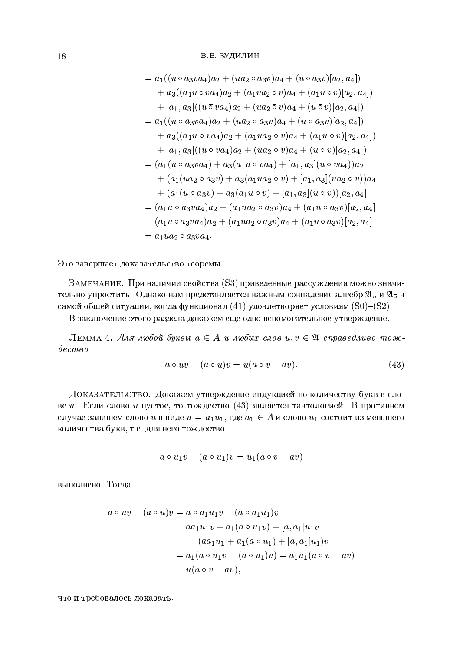$$
= a_1((u \bar{o} a_3 v a_4)a_2 + (u a_2 \bar{o} a_3 v)a_4 + (u \bar{o} a_3 v)[a_2, a_4])
$$
  
+ 
$$
a_3((a_1 u \bar{o} v a_4)a_2 + (a_1 u a_2 \bar{o} v)a_4 + (a_1 u \bar{o} v)[a_2, a_4])
$$
  
+ 
$$
[a_1, a_3]((u \bar{o} v a_4)a_2 + (u a_2 \bar{o} v)a_4 + (u \bar{o} v)[a_2, a_4])
$$
  
= 
$$
a_1((u \circ a_3 v a_4)a_2 + (u a_2 \circ a_3 v)a_4 + (u \circ a_3 v)[a_2, a_4])
$$
  
+ 
$$
a_3((a_1 u \circ v a_4)a_2 + (a_1 u a_2 \circ v)a_4 + (a_1 u \circ v)[a_2, a_4])
$$
  
+ 
$$
[a_1, a_3]((u \circ v a_4)a_2 + (u a_2 \circ v)a_4 + (u \circ v)[a_2, a_4])
$$
  
= 
$$
(a_1(u \circ a_3 v a_4) + a_3(a_1 u \circ v a_4) + [a_1, a_3](u \circ v a_4))a_2
$$
  
+ 
$$
(a_1(u a_2 \circ a_3 v) + a_3(a_1 u a_2 \circ v) + [a_1, a_3](u a_2 \circ v))a_4
$$
  
+ 
$$
(a_1(u \circ a_3 v) + a_3(a_1 u \circ v) + [a_1, a_3](u \circ v))[a_2, a_4]
$$
  
= 
$$
(a_1 u \bar{o} a_3 v a_4)a_2 + (a_1 u a_2 \bar{o} a_3 v)a_4 + (a_1 u \bar{o} a_3 v)[a_2, a_4]
$$
  
= 
$$
(a_1 u \bar{o} a_3 v a_4)a_2 + (a_1 u a_2 \bar{o} a_3 v)a_4 + (a_1 u \bar{o} a_3 v)[a_2, a_4]
$$
  
= 
$$
a_1 u a_2 \bar{o} a_3 v a_4.
$$

Это завершает доказательство теоремы.

ЗАМЕЧАНИЕ. При наличии свойства (S3) приведенные рассуждения можно значительно упростить. Однако нам представляется важным совпадение алгебр  $\mathfrak{A}_{\mathrm{o}}$  и  $\mathfrak{A}_{\mathrm{\overline{o}}}$  в самой общей ситуации, когда функционал (41) удовлетворяет условиям (S0)-(S2).

В заключение этого раздела докажем еще одно вспомогательное утверждение.

ЛЕММА 4. Для любой буквы  $a \in A$  и любых слов  $u, v \in \mathfrak{A}$  справедливо тож- $\partial e$ cmoo

$$
a \circ uv - (a \circ u)v = u(a \circ v - av). \tag{43}
$$

ДОКАЗАТЕЛЬСТВО. Докажем утверждение индукцией по количеству букв в слове *и*. Если слово *и* пустое, то тождество (43) является тавтологией. В противном случае запишем слово *и* в виде  $u = a_1 u_1$ , где  $a_1 \in A$  и слово  $u_1$  состоит из меньшего количества букв, т.е. для него тождество

$$
a\circ u_1v-(a\circ u_1)v=u_1(a\circ v-av)
$$

выполнено. Тогда

$$
a \circ uv - (a \circ u)v = a \circ a_1u_1v - (a \circ a_1u_1)v
$$
  
= 
$$
aa_1u_1v + a_1(a \circ u_1v) + [a, a_1]u_1v
$$
  
- 
$$
(aa_1u_1 + a_1(a \circ u_1) + [a, a_1]u_1)v
$$
  
= 
$$
a_1(a \circ u_1v - (a \circ u_1)v) = a_1u_1(a \circ v - av)
$$
  
= 
$$
u(a \circ v - av),
$$

что и требовалось доказать.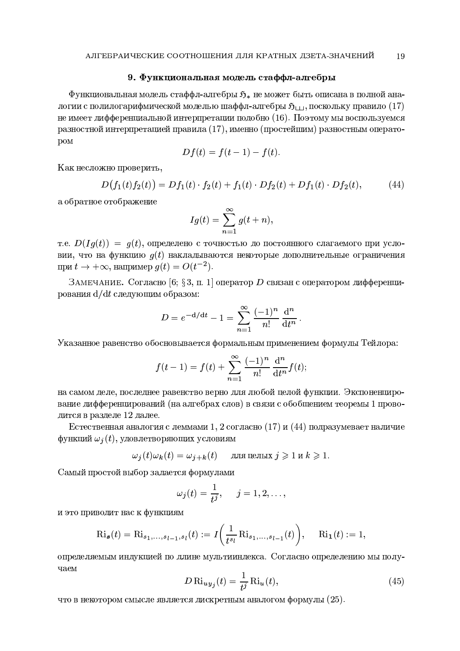# 9. Функциональная модель стаффл-алгебры

Функциональная модель стаффл-алгебры  $\mathfrak{H}_*$  не может быть описана в полной аналогии с полилогарифмической моделью шаффл-алгебры  $\mathfrak{H}_{111}$ , поскольку правило (17) не имеет дифференциальной интерпретации подобно (16). Поэтому мы воспользуемся разностной интерпретацией правила (17), именно (простейшим) разностным операто-**DOM** 

$$
Df(t) = f(t-1) - f(t)
$$

Как несложно проверить,

$$
D(f_1(t)f_2(t)) = Df_1(t) \cdot f_2(t) + f_1(t) \cdot Df_2(t) + Df_1(t) \cdot Df_2(t), \tag{44}
$$

а обратное отображение

$$
Ig(t) = \sum_{n=1}^{\infty} g(t+n),
$$

т.е.  $D(Iq(t)) = q(t)$ , определено с точностью до постоянного слагаемого при условии, что на функцию  $q(t)$  накладываются некоторые дополнительные ограничения при  $t \to +\infty$ , например  $q(t) = O(t^{-2})$ .

ЗАМЕЧАНИЕ. Согласно [6; §3, п. 1] оператор D связан с оператором дифференцирования d/dt следующим образом:

$$
D = e^{-d/dt} - 1 = \sum_{n=1}^{\infty} \frac{(-1)^n}{n!} \frac{d^n}{dt^n}.
$$

Указанное равенство обосновывается формальным применением формулы Тейлора:

$$
f(t-1) = f(t) + \sum_{n=1}^{\infty} \frac{(-1)^n}{n!} \frac{d^n}{dt^n} f(t);
$$

на самом деле, последнее равенство верно для любой целой функции. Экспоненцирование лифференцирований (на алгебрах слов) в связи с обобщением теоремы 1 проводится в разделе 12 далее.

Естественная аналогия с леммами 1, 2 согласно (17) и (44) подразумевает наличие функций  $\omega_i(t)$ , удовлетворяющих условиям

$$
\omega_j(t)\omega_k(t)=\omega_{j+k}(t)\quad \text{ для цельіх } j\geqslant 1\text{ и } k\geqslant 1.
$$

Самый простой выбор задается формулами

$$
\omega_j(t) = \frac{1}{t^j}, \quad j = 1, 2, \dots
$$

и это приводит нас к функциям

$$
\mathrm{Ri}_{\boldsymbol{s}}(t) = \mathrm{Ri}_{s_1,\ldots,s_{l-1},s_l}(t) := I\left(\frac{1}{t^{s_l}}\mathrm{Ri}_{s_1,\ldots,s_{l-1}}(t)\right), \quad \mathrm{Ri}_{\mathbf{1}}(t) := 1,
$$

определяемым индукцией по длине мультииндекса. Согласно определению мы получаем

$$
D \operatorname{Ri}_{uy_j}(t) = \frac{1}{t^j} \operatorname{Ri}_u(t),\tag{45}
$$

что в некотором смысле является дискретным аналогом формулы  $(25)$ .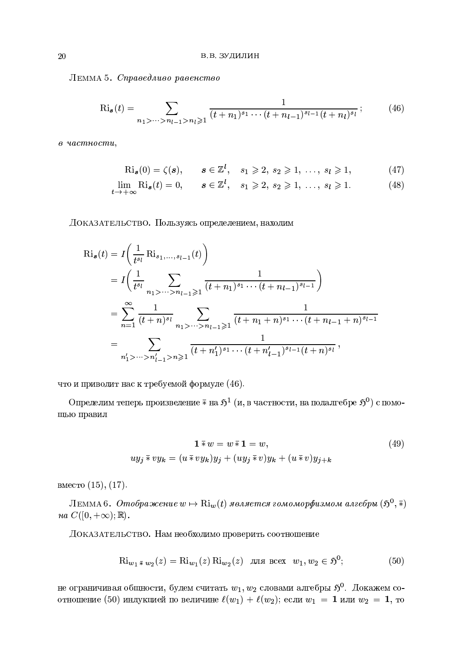ЛЕММА 5. Справедливо равенство

$$
\mathrm{Ri}_{\mathbf{s}}(t) = \sum_{n_1 > \dots > n_{l-1} > n_l \geqslant 1} \frac{1}{(t+n_1)^{s_1} \cdots (t+n_{l-1})^{s_{l-1}} (t+n_l)^{s_l}}; \tag{46}
$$

в частности,

$$
\mathrm{Ri}_{\boldsymbol{s}}(0) = \zeta(\boldsymbol{s}), \qquad \boldsymbol{s} \in \mathbb{Z}^l, \quad s_1 \geqslant 2, \ s_2 \geqslant 1, \ \ldots, \ s_l \geqslant 1,\tag{47}
$$

$$
\lim_{t \to +\infty} \text{Ri}_{\mathbf{s}}(t) = 0, \qquad \mathbf{s} \in \mathbb{Z}^l, \quad s_1 \geqslant 2, \ s_2 \geqslant 1, \ \dots, \ s_l \geqslant 1. \tag{48}
$$

ДОКАЗАТЕЛЬСТВО. Пользуясь определением, находим

$$
Ri_s(t) = I\left(\frac{1}{t^{s_l}} Ri_{s_1,\ldots,s_{l-1}}(t)\right)
$$
  
=  $I\left(\frac{1}{t^{s_l}} \sum_{n_1 > \cdots > n_{l-1} \geq 1} \frac{1}{(t+n_1)^{s_1} \cdots (t+n_{l-1})^{s_{l-1}}}\right)$   
=  $\sum_{n=1}^{\infty} \frac{1}{(t+n)^{s_l}} \sum_{n_1 > \cdots > n_{l-1} \geq 1} \frac{1}{(t+n_1+n)^{s_1} \cdots (t+n_{l-1}+n)^{s_{l-1}}}$   
=  $\sum_{n'_1 > \cdots > n'_{l-1} > n \geq 1} \frac{1}{(t+n'_1)^{s_1} \cdots (t+n'_{l-1})^{s_{l-1}}(t+n)^{s_l}},$ 

что и приводит нас к требуемой формуле (46).

Определим теперь произведение  $\bar{*}$  на  $\mathfrak{H}^1$  (и, в частности, на подалгебре  $\mathfrak{H}^0$ ) с помощью правил

$$
\mathbf{1} \overline{\ast} w = w \overline{\ast} \mathbf{1} = w,
$$
  

$$
uy_j \overline{\ast} vy_k = (u \overline{\ast} vy_k)y_j + (uy_j \overline{\ast} v)y_k + (u \overline{\ast} v)y_{j+k}
$$
 (49)

вместо  $(15)$ ,  $(17)$ .

ЛЕММА 6. Отображение  $w \mapsto \text{Ri}_w(t)$  является гомоморфизмом алгебры  $(\mathfrak{H}^0, \overline{\ast})$  $na C([0, +\infty); \mathbb{R}).$ 

Доказательство. Нам необходимо проверить соотношение

$$
\text{Ri}_{w_1 \bar * w_2}(z) = \text{Ri}_{w_1}(z) \text{Ri}_{w_2}(z) \quad \text{and } \text{mse} \quad w_1, w_2 \in \mathfrak{H}^0; \tag{50}
$$

не ограничивая общности, будем считать  $w_1, w_2$  словами алгебры  $\mathfrak{H}^0$ . Докажем соотношение (50) индукцией по величине  $\ell(w_1) + \ell(w_2)$ ; если  $w_1 = 1$  или  $w_2 = 1$ , то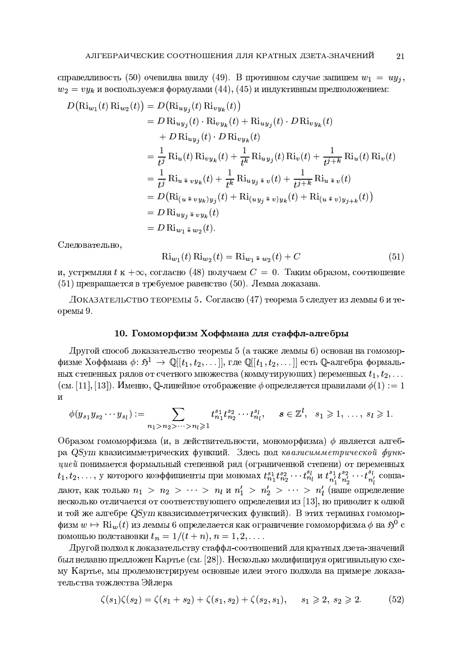справедливость (50) очевидна ввиду (49). В противном случае запишем  $w_1 = uy_j$ ,  $w_2 = vy_k$  и воспользуемся формулами  $(44)$ ,  $(45)$  и индуктивным предположением:

$$
D(\text{Ri}_{w_1}(t) \text{Ri}_{w_2}(t)) = D(\text{Ri}_{uy_j}(t) \text{Ri}_{vy_k}(t))
$$
  
\n
$$
= D \text{Ri}_{uy_j}(t) \cdot \text{Ri}_{vy_k}(t) + \text{Ri}_{uy_j}(t) \cdot D \text{Ri}_{vy_k}(t)
$$
  
\n
$$
+ D \text{Ri}_{uy_j}(t) \cdot D \text{Ri}_{vy_k}(t)
$$
  
\n
$$
= \frac{1}{t^j} \text{Ri}_u(t) \text{Ri}_{vy_k}(t) + \frac{1}{t^k} \text{Ri}_{uy_j}(t) \text{Ri}_v(t) + \frac{1}{t^{j+k}} \text{Ri}_u(t) \text{Ri}_v(t)
$$
  
\n
$$
= \frac{1}{t^j} \text{Ri}_{u \bar{\ast} v y_k}(t) + \frac{1}{t^k} \text{Ri}_{uy_j \bar{\ast} v}(t) + \frac{1}{t^{j+k}} \text{Ri}_{u \bar{\ast} v}(t)
$$
  
\n
$$
= D(\text{Ri}_{(u \bar{\ast} v y_k)y_j}(t) + \text{Ri}_{(uy_j \bar{\ast} v)y_k}(t) + \text{Ri}_{(u \bar{\ast} v)y_{j+k}}(t))
$$
  
\n
$$
= D \text{Ri}_{uy_j \bar{\ast} vy_k}(t)
$$
  
\n
$$
= D \text{Ri}_{u_1 \bar{\ast} w_2}(t).
$$

Следовательно,

$$
\text{Ri}_{w_1}(t) \text{Ri}_{w_2}(t) = \text{Ri}_{w_1 \bar{\ast} w_2}(t) + C \tag{51}
$$

и, устремляя  $t \kappa + \infty$ , согласно (48) получаем  $C = 0$ . Таким образом, соотношение  $(51)$  превращается в требуемое равенство (50). Лемма доказана.

ДОКАЗАТЕЛЬСТВО ТЕОРЕМЫ 5. Согласно (47) теорема 5 следует из леммы 6 и теоремы 9.

## 10. Гомоморфизм Хоффмана для стаффл-алгебры

Другой способ доказательство теоремы 5 (а также леммы 6) основан на гомоморфизме Хоффмана  $\phi: \mathfrak{H}^1 \to \mathbb{Q}[[t_1, t_2, \dots]],$  где  $\mathbb{Q}[[t_1, t_2, \dots]]$  есть  $\mathbb{Q}$ -алгебра формальных степенных рядов от счетного множества (коммутирующих) переменных  $t_1, t_2, \ldots$ (см. [11], [13]). Именно, Q-линейное отображение  $\phi$  определяется правилами  $\phi(1) := 1$  $\overline{M}$ 

$$
\phi(y_{s_1}y_{s_2}\cdots y_{s_l}) := \sum_{n_1 > n_2 > \cdots > n_l \geq 1} t_{n_1}^{s_1} t_{n_2}^{s_2} \cdots t_{n_l}^{s_l}, \quad s \in \mathbb{Z}^l, s_1 \geq 1, \ldots, s_l \geq 1.
$$

Образом гомоморфизма (и, в действительности, мономорфизма)  $\phi$  является алгебра QSym квазисимметрических функций. Здесь под квазисимметрической функ- $\it u \it u \it e \it \rm u$ понимается формальный степенной ряд (ограниченной степени) от переменных  $t_1, t_2, \ldots$ , у которого коэффициенты при мономах  $t_{n_1}^{s_1} t_{n_2}^{s_2} \cdots t_{n_l}^{s_l}$  и  $t_{n'_1}^{s_1} t_{n'_2}^{s_2} \cdots t_{n'_l}^{s_l}$  совпадают, как только  $n_1 > n_2 > \cdots > n_l$  и  $n'_1 > n'_2 > \cdots > n'_l$  (наше определение несколько отличается от соответствующего определения из [13], но приводит к одной и той же алгебре  $QSym$  квазисимметрических функций). В этих терминах гомоморфизм  $w \mapsto \text{Ri}_w(t)$  из леммы 6 определается как ограничение гомоморфизма  $\phi$  на  $\mathfrak{H}^0$  с помощью подстановки  $t_n = 1/(t + n), n = 1, 2, \ldots$ 

Другой подход к доказательству стаффл-соотношений для кратных дзета-значений был недавно предложен Картье (см. [28]). Несколько модифицируя оригинальную схему Картье, мы продемонстрируем основные идеи этого подхода на примере доказательства тождества Эйлера

$$
\zeta(s_1)\zeta(s_2) = \zeta(s_1 + s_2) + \zeta(s_1, s_2) + \zeta(s_2, s_1), \qquad s_1 \geqslant 2, \ s_2 \geqslant 2. \tag{52}
$$

21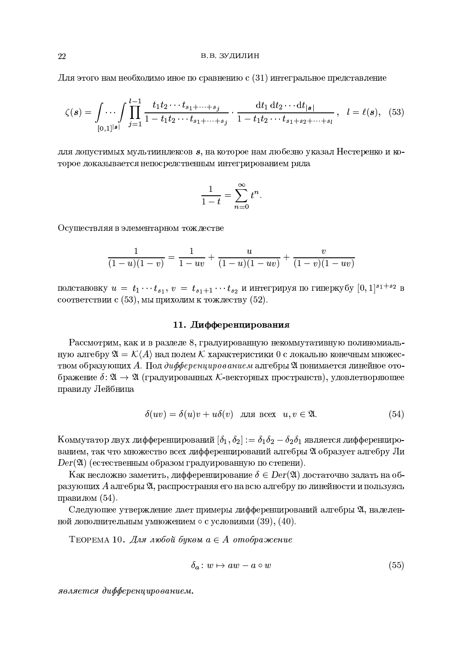Для этого нам необходимо иное по сравнению с (31) интегральное представление

$$
\zeta(s) = \int \cdots \int \prod_{[0,1]^{|s|}}^{l-1} \frac{t_1 t_2 \cdots t_{s_1 + \cdots + s_j}}{1 - t_1 t_2 \cdots t_{s_1 + \cdots + s_j}} \cdot \frac{\mathrm{d} t_1 \, \mathrm{d} t_2 \cdots \mathrm{d} t_{|s|}}{1 - t_1 t_2 \cdots t_{s_1 + s_2 + \cdots + s_l}}, \quad l = \ell(s), \tag{53}
$$

для допустимых мультииндексов  $s$ , на которое нам любезно указал Нестеренко и которое доказывается непосредственным интегрированием ряда

$$
\frac{1}{1-t} = \sum_{n=0}^{\infty} t^n.
$$

Осуществляя в элементарном тождестве

$$
\frac{1}{(1-u)(1-v)} = \frac{1}{1-uv} + \frac{u}{(1-u)(1-uv)} + \frac{v}{(1-v)(1-uv)}
$$

подстановку  $u = t_1 \cdots t_{s_1}$ ,  $v = t_{s_1+1} \cdots t_{s_2}$  и интегрируя по гиперкубу  $[0, 1]^{s_1+s_2}$  в соответствии с  $(53)$ , мы приходим к тождеству  $(52)$ .

### 11. Дифференцирования

Рассмотрим, как и в разделе 8, градуированную некоммутативную полиномиальную алгебру  $\mathfrak{A} = \mathcal{K}(A)$  над полем  $\mathcal K$  характеристики 0 с локально конечным множеством образующих А. Под дифференцированием алгебры  $\mathfrak A$  понимается линейное отображение  $\delta: \mathfrak{A} \to \mathfrak{A}$  (градуированных К-векторных пространств), удовлетворяющее правилу Лейбница

$$
\delta(uv) = \delta(u)v + u\delta(v) \quad \text{and } \text{mce}u, v \in \mathfrak{A}.\tag{54}
$$

Коммутатор двух дифференцирований  $[\delta_1, \delta_2] := \delta_1 \delta_2 - \delta_2 \delta_1$  является дифференцированием, так что множество всех дифференцирований алгебры 24 образует алгебру Ли  $Der(\mathfrak{A})$  (естественным образом градуированную по степени).

Как несложно заметить, дифференцирование  $\delta \in Der(\mathfrak{A})$  достаточно задать на образующих А алгебры 24, распространяя его на всю алгебру по линейности и пользуясь правилом  $(54)$ .

Следующее утверждение дает примеры дифференцирований алгебры 24, наделенной дополнительным умножением  $\circ$  с условиями (39), (40).

ТЕОРЕМА 10. Для любой буквы  $a \in A$  отображение

$$
\delta_a: w \mapsto aw - a \circ w \tag{55}
$$

является дифференцированием.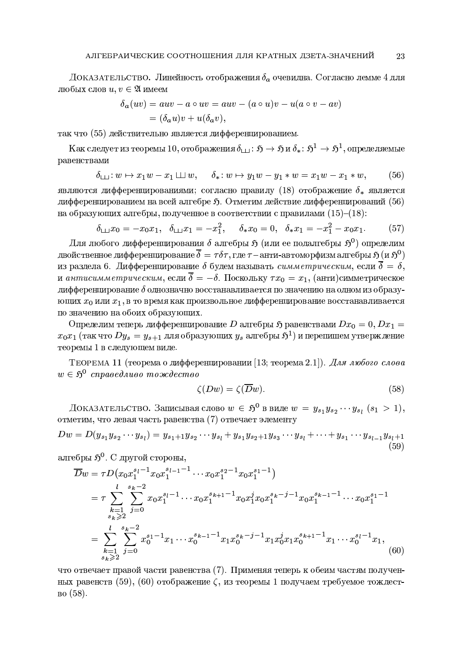ДОКАЗАТЕЛЬСТВО. Линейность отображения  $\delta_a$  очевидна. Согласно лемме 4 для любых слов  $u, v \in \mathfrak{A}$  имеем

$$
\delta_a(uv) = auv - a \circ uv = auv - (a \circ u)v - u(a \circ v - av)
$$
  
=  $(\delta_a u)v + u(\delta_a v),$ 

так что (55) действительно является дифференцированием.

Как следует из теоремы 10, отображения  $\delta_{\Box} : \mathfrak{H} \to \mathfrak{H} \mathfrak{u} \, \delta_* \colon \mathfrak{H}^1 \to \mathfrak{H}^1$ , определяемые равенствами

$$
\delta_{\square}: w \mapsto x_1 w - x_1 \square w, \quad \delta_*: w \mapsto y_1 w - y_1 * w = x_1 w - x_1 * w, \quad (56)
$$

являются дифференцированиями; согласно правилу (18) отображение  $\delta_*$  является дифференцированием на всей алгебре  $\mathfrak{H}$ . Отметим действие дифференцирований (56) на образующих алгебры, полученное в соответствии с правилами  $(15)$ – $(18)$ :

$$
\delta_{\square\square} x_0 = -x_0 x_1, \quad \delta_{\square\square} x_1 = -x_1^2, \quad \delta_* x_0 = 0, \quad \delta_* x_1 = -x_1^2 - x_0 x_1. \tag{57}
$$

Для любого дифференцирования  $\delta$  алгебры  $\mathfrak{H}$  (или ее подалгебры  $\mathfrak{H}^0$ ) определим двойственное дифференцирование  $\overline{\delta}=\tau\delta\tau,$ где  $\tau$  – анти-автоморфизм алгебры  $\mathfrak{H}$  (и  $\mathfrak{H}^{0})$ из раздела 6. Дифференцирование  $\delta$  будем называть симметрическим, если  $\overline{\delta} = \delta,$ и антисимметрическим, если  $\overline{\delta} = -\delta$ . Поскольку  $\tau x_0 = x_1$ , (анти)симметрическое дифференцирование  $\delta$  однозначно восстанавливается по значению на одном из образующих  $x_0$  или  $x_1$ , в то время как произвольное дифференцирование восстанавливается по значению на обоих образующих.

Определим теперь дифференцирование D алгебры  $\mathfrak{H}$  равенствами  $Dx_0 = 0, Dx_1 = 0$  $x_0x_1$  (так что  $Dy_s = y_{s+1}$  для образующих  $y_s$  алгебры  $\mathfrak{H}^1$ ) и перепишем утверждение теоремы 1 в следующем виде.

Теорема 11 (теорема о дифференцировании [13; теорема 2.1]). Для любого слова  $w \in \mathfrak{H}^0$  справедливо тождество

$$
\zeta(Dw) = \zeta(\overline{D}w). \tag{58}
$$

Доказательство. Записывая слово  $w \in \mathfrak{H}^0$  в виде  $w = y_{s_1} y_{s_2} \cdots y_{s_l}$   $(s_1 > 1)$ , отметим, что левая часть равенства (7) отвечает элементу

$$
Dw = D(y_{s_1}y_{s_2}\cdots y_{s_l}) = y_{s_1+1}y_{s_2}\cdots y_{s_l} + y_{s_1}y_{s_2+1}y_{s_3}\cdots y_{s_l} + \cdots + y_{s_1}\cdots y_{s_{l-1}}y_{s_l+1}
$$
\n(59)

алгебры  $5^0$ . С другой стороны,

$$
\overline{D}w = \tau D(x_0 x_1^{s_l - 1} x_0 x_1^{s_l - 1} \cdots x_0 x_1^{s_2 - 1} x_0 x_1^{s_1 - 1})
$$
\n
$$
= \tau \sum_{\substack{k=1 \ s_k \ge 2}}^l \sum_{j=0}^{s_k - 2} x_0 x_1^{s_l - 1} \cdots x_0 x_1^{s_k + 1} x_0 x_1^j x_0 x_1^{s_k - j - 1} x_0 x_1^{s_k - 1} \cdots x_0 x_1^{s_1 - 1}
$$
\n
$$
= \sum_{\substack{k=1 \ s_k \ge 2}}^l \sum_{j=0}^{s_k - 2} x_0^{s_1 - 1} x_1 \cdots x_0^{s_k - 1} x_1 x_0^{s_k - j - 1} x_1 x_0^j x_1 x_0^{s_k + 1} x_1^{s_k + 1} x_1 \cdots x_0^{s_l - 1} x_1,
$$
\n(60)

что отвечает правой части равенства (7). Применяя теперь к обеим частям полученных равенств (59), (60) отображение  $\zeta$ , из теоремы 1 получаем требуемое тождество  $(58)$ .

23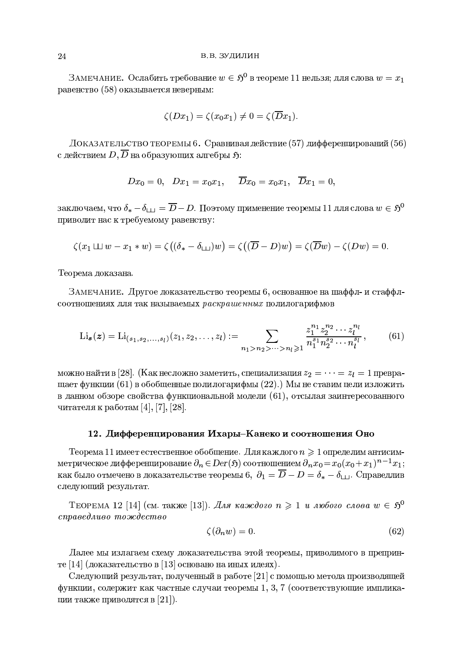ЗАМЕЧАНИЕ. Ослабить требование  $w \in \mathfrak{H}^0$  в теореме 11 нельзя; для слова  $w = x_1$ равенство (58) оказывается неверным:

$$
\zeta(Dx_1) = \zeta(x_0x_1) \neq 0 = \zeta(\overline{D}x_1).
$$

ДОКАЗАТЕЛЬСТВО ТЕОРЕМЫ 6. Сравнивая действие (57) дифференцирований (56) с действием  $D, \overline{D}$  на образующих алгебры  $\mathfrak{H}$ :

$$
Dx_0 = 0, \quad Dx_1 = x_0x_1, \quad \overline{D}x_0 = x_0x_1, \quad \overline{D}x_1 = 0,
$$

заключаем, что  $\delta_* - \delta_{\square} = \overline{D} - D$ . Поэтому применение теоремы 11 для слова  $w \in \mathfrak{H}^0$ приводит нас к требуемому равенству:

$$
\zeta(x_1 \sqcup \sqcup w - x_1 * w) = \zeta((\delta_* - \delta_{\sqcup})w) = \zeta((\overline{D} - D)w) = \zeta(\overline{D}w) - \zeta(Dw) = 0.
$$

Теорема доказана.

ЗАМЕЧАНИЕ. Другое доказательство теоремы 6, основанное на шаффл- и стаффлсоотношениях для так называемых раскрашенных полилогарифмов

$$
\text{Li}_{\mathbf{s}}(\mathbf{z}) = \text{Li}_{(s_1, s_2, \dots, s_l)}(z_1, z_2, \dots, z_l) := \sum_{n_1 > n_2 > \dots > n_l \geq 1} \frac{z_1^{n_1} z_2^{n_2} \cdots z_l^{n_l}}{n_1^{s_1} n_2^{s_2} \cdots n_l^{s_l}},\tag{61}
$$

можно найти в [28]. (Как несложно заметить, специализация  $z_2 = \cdots = z_l = 1$  превращает функции (61) в обобщенные полилогарифмы  $(22)$ .) Мы не ставим цели изложить в данном обзоре свойства функциональной модели  $(61)$ , отсылая заинтересованного читателя к работам [4], [7], [28].

### 12. Дифференцирования Ихары-Канеко и соотношения Оно

Теорема 11 имеет естественное обобщение. Для каждого  $n \geqslant 1$  определим антисимметрическое дифференцирование  $\partial_n \in Der(\mathfrak{H})$  соотношением  $\partial_n x_0 = x_0 (x_0 + x_1)^{n-1} x_1$ ; как было отмечено в доказательстве теоремы 6,  $\partial_1 = \overline{D} - D = \delta_* - \delta_{\Box}$ . Справедлив следующий результат.

ТЕОРЕМА 12 [14] (см. также [13]). Для каждого  $n \geq 1$  и любого слова  $w \in \mathfrak{H}^0$ справедливо тождество

$$
\zeta(\partial_n w) = 0. \tag{62}
$$

Далее мы излагаем схему доказательства этой теоремы, приводимого в препринте [14] (доказательство в [13] основано на иных идеях).

Следующий результат, полученный в работе [21] с помощью метода производящей  $\phi$ ункции, содержит как частные случаи теоремы 1, 3, 7 (соответствующие импликации также приводятся в [21].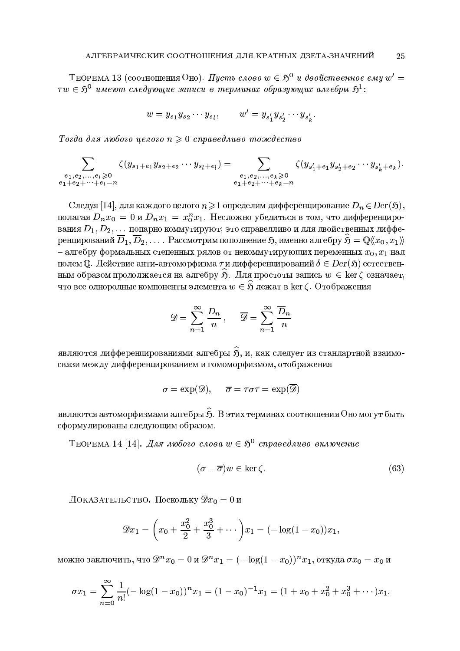ТЕОРЕМА 13 (соотношения Оно). Пусть слово  $w \in \mathfrak{H}^0$  и двойственное ему  $w' =$  $\tau w \in \mathfrak{H}^0$  имеют следующие записи в терминах образующих алгебры  $\mathfrak{H}^1$ :

$$
w = y_{s_1} y_{s_2} \cdots y_{s_l}, \qquad w' = y_{s'_1} y_{s'_2} \cdots y_{s'_k}
$$

Тогда для любого целого  $n \geq 0$  справедливо тождество

$$
\sum_{\substack{e_1, e_2, \dots, e_l \geqslant 0 \\ e_1 + e_2 + \dots + e_l = n}} \zeta(y_{s_1 + e_1} y_{s_2 + e_2} \cdots y_{s_l + e_l}) = \sum_{\substack{e_1, e_2, \dots, e_k \geqslant 0 \\ e_1 + e_2 + \dots + e_k = n}} \zeta(y_{s'_1 + e_1} y_{s'_2 + e_2} \cdots y_{s'_k + e_k}).
$$

Следуя [14], для каждого целого  $n \geq 1$  определим дифференцирование  $D_n \in Der(\mathfrak{H}),$ полагая  $D_n x_0 = 0$  и  $D_n x_1 = x_0^n x_1$ . Несложно убедиться в том, что дифференцирования  $D_1, D_2, \ldots$  попарно коммутируют; это справедливо и для двойственных дифференцирований  $\overline{D}_1, \overline{D}_2, \ldots$ . Рассмотрим пополнение  $\mathfrak{H}$ , именно алгебру  $\mathfrak{H} = \mathbb{Q}(\langle x_0, x_1 \rangle)$ - алгебру формальных степенных рядов от некоммутирующих переменных  $x_0, x_1$  над полем Q. Действие анти-автоморфизма  $\tau$  и дифференцирований  $\delta \in Der(\mathfrak{H})$  естественным образом продолжается на алгебру  $\hat{p}$ . Для простоты запись  $w \in \ker \zeta$  означает, что все однородные компоненты элемента  $w \in \widehat{S}$  лежат в ker  $\zeta$ . Отображения

$$
\mathscr{D} = \sum_{n=1}^{\infty} \frac{D_n}{n}, \quad \overline{\mathscr{D}} = \sum_{n=1}^{\infty} \frac{\overline{D}_n}{n}
$$

являются дифференцированиями алгебры  $\widehat{\mathfrak{H}}$ , и, как следует из стандартной взаимосвязи между дифференцированием и гомоморфизмом, отображения

$$
\sigma = \exp(\mathscr{D}), \quad \overline{\sigma} = \tau \sigma \tau = \exp(\overline{\mathscr{D}})
$$

являются автоморфизмами алгебры  $\hat{S}$ . В этих терминах соотношения Оно могут быть сформулированы следующим образом.

ТЕОРЕМА 14 [14]. Для любого слова  $w \in \mathfrak{H}^0$  справедливо включение

$$
(\sigma - \overline{\sigma})w \in \ker \zeta. \tag{63}
$$

Доказательство. Поскольку  $\mathscr{D}x_0=0$  и

$$
\mathscr{D}x_1 = \left(x_0 + \frac{x_0^2}{2} + \frac{x_0^3}{3} + \cdots\right)x_1 = (-\log(1-x_0))x_1,
$$

можно заключить, что  $\mathscr{D}^n x_0 = 0$  и  $\mathscr{D}^n x_1 = (-\log(1 - x_0))^n x_1$ , откуда  $\sigma x_0 = x_0$  и

$$
\sigma x_1 = \sum_{n=0}^{\infty} \frac{1}{n!} (-\log(1-x_0))^n x_1 = (1-x_0)^{-1} x_1 = (1+x_0+x_0^2+x_0^3+\cdots)x_1.
$$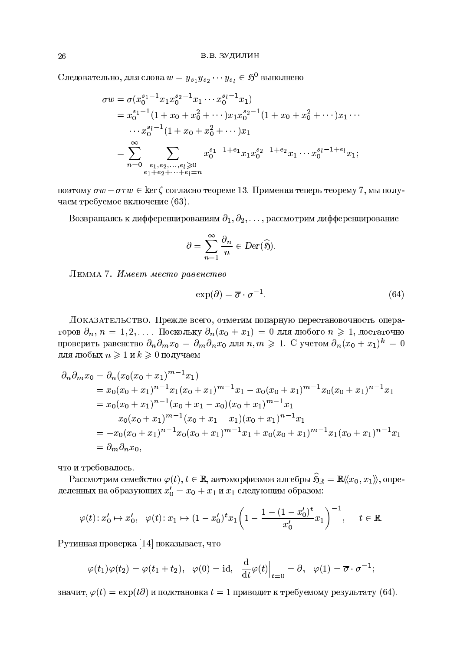Следовательно, для слова  $w = y_{s_1} y_{s_2} \cdots y_{s_l} \in \mathfrak{H}^0$  выполнено

$$
\sigma w = \sigma (x_0^{s_1-1} x_1 x_0^{s_2-1} x_1 \cdots x_0^{s_l-1} x_1)
$$
  
\n
$$
= x_0^{s_1-1} (1 + x_0 + x_0^2 + \cdots) x_1 x_0^{s_2-1} (1 + x_0 + x_0^2 + \cdots) x_1 \cdots
$$
  
\n
$$
\cdots x_0^{s_l-1} (1 + x_0 + x_0^2 + \cdots) x_1
$$
  
\n
$$
= \sum_{n=0}^{\infty} \sum_{\substack{e_1, e_2, \dots, e_l \ge 0 \\ e_1 + e_2 + \cdots + e_l = n}} x_0^{s_1-1+e_1} x_1 x_0^{s_2-1+e_2} x_1 \cdots x_0^{s_l-1+e_l} x_1;
$$

поэтому  $\sigma w - \sigma \tau w \in \ker \zeta$  согласно теореме 13. Применяя теперь теорему 7, мы получаем требуемое включение (63).

Возвращаясь к дифференцированиям  $\partial_1, \partial_2, \ldots$ , рассмотрим дифференцирование

$$
\partial = \sum_{n=1}^{\infty} \frac{\partial_n}{n} \in Der(\widehat{\mathfrak{H}}).
$$

ЛЕММА 7. Имеет место равенство

$$
\exp(\partial) = \overline{\sigma} \cdot \sigma^{-1}.\tag{64}
$$

ДОКАЗАТЕЛЬСТВО. Прежде всего, отметим попарную перестановочность операторов  $\partial_n$ ,  $n = 1, 2, \ldots$  Поскольку  $\partial_n(x_0 + x_1) = 0$  для любого  $n \ge 1$ , достаточно проверить равенство  $\partial_n \partial_m x_0 = \partial_m \partial_n x_0$  для  $n, m \geq 1$ . С учетом  $\partial_n (x_0 + x_1)^k = 0$ для любых  $n \geq 1$  и  $k \geq 0$  получаем

$$
\partial_n \partial_m x_0 = \partial_n (x_0(x_0 + x_1)^{m-1} x_1)
$$
  
=  $x_0(x_0 + x_1)^{n-1} x_1 (x_0 + x_1)^{m-1} x_1 - x_0 (x_0 + x_1)^{m-1} x_0 (x_0 + x_1)^{n-1} x_1$   
=  $x_0(x_0 + x_1)^{n-1} (x_0 + x_1 - x_0) (x_0 + x_1)^{m-1} x_1$   
 $- x_0 (x_0 + x_1)^{m-1} (x_0 + x_1 - x_1) (x_0 + x_1)^{n-1} x_1$   
=  $-x_0(x_0 + x_1)^{n-1} x_0 (x_0 + x_1)^{m-1} x_1 + x_0 (x_0 + x_1)^{m-1} x_1 (x_0 + x_1)^{n-1} x_1$   
=  $\partial_m \partial_n x_0$ ,

что и требовалось.

Рассмотрим семейство  $\varphi(t), t \in \mathbb{R}$ , автоморфизмов алгебры  $\widehat{S}_{\mathbb{R}} = \mathbb{R} \langle\!\langle x_0, x_1 \rangle\!\rangle$ , определенных на образующих  $x'_0 = x_0 + x_1$  и  $x_1$  следующим образом:

$$
\varphi(t): x'_0 \mapsto x'_0, \quad \varphi(t): x_1 \mapsto (1-x'_0)^t x_1 \left(1 - \frac{1 - (1-x'_0)^t}{x'_0} x_1\right)^{-1}, \quad t \in \mathbb{R}.
$$

Рутинная проверка [14] показывает, что

$$
\varphi(t_1)\varphi(t_2) = \varphi(t_1 + t_2), \quad \varphi(0) = id, \quad \frac{d}{dt}\varphi(t)\Big|_{t=0} = \partial, \quad \varphi(1) = \overline{\sigma} \cdot \sigma^{-1}
$$

значит,  $\varphi(t) = \exp(t\partial)$  и подстановка  $t = 1$  приводит к требуемому результату (64).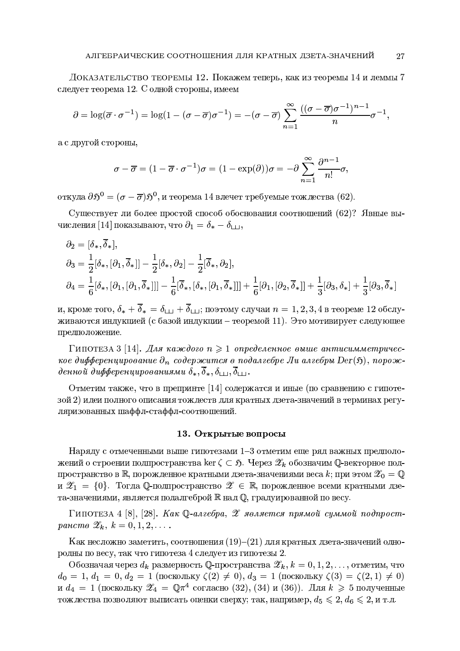ДОКАЗАТЕЛЬСТВО ТЕОРЕМЫ 12. Покажем теперь, как из теоремы 14 и леммы 7 следует теорема 12. С одной стороны, имеем

$$
\partial = \log(\overline{\sigma} \cdot \sigma^{-1}) = \log(1 - (\sigma - \overline{\sigma})\sigma^{-1}) = -(\sigma - \overline{\sigma}) \sum_{n=1}^{\infty} \frac{((\sigma - \overline{\sigma})\sigma^{-1})^{n-1}}{n} \sigma^{-1},
$$

а с другой стороны,

$$
\sigma - \overline{\sigma} = (1 - \overline{\sigma} \cdot \sigma^{-1})\sigma = (1 - \exp(\partial))\sigma = -\partial \sum_{n=1}^{\infty} \frac{\partial^{n-1}}{n!} \sigma,
$$

откуда  $\partial \mathfrak{H}^0 = (\sigma - \overline{\sigma}) \mathfrak{H}^0$ , и теорема 14 влечет требуемые тождества (62).

Существует ли более простой способ обоснования соотношений (62)? Явные вычисления [14] показывают, что  $\partial_1 = \delta_* - \delta_{\square}$ ,

$$
\partial_2 = [\delta_*, \overline{\delta}_*],
$$
  
\n
$$
\partial_3 = \frac{1}{2} [\delta_*, [\partial_1, \overline{\delta}_*]] - \frac{1}{2} [\delta_*, \partial_2] - \frac{1}{2} [\overline{\delta}_*, \partial_2],
$$
  
\n
$$
\partial_4 = \frac{1}{6} [\delta_*, [\partial_1, [\partial_1, \overline{\delta}_*]]] - \frac{1}{6} [\overline{\delta}_*, [\delta_*, [\partial_1, \overline{\delta}_*]]] + \frac{1}{6} [\partial_1, [\partial_2, \overline{\delta}_*]] + \frac{1}{3} [\partial_3, \delta_*] + \frac{1}{3} [\partial_3, \overline{\delta}_*]
$$

и, кроме того,  $\delta_* + \overline{\delta}_* = \delta_{++} + \overline{\delta}_{++}$ ; поэтому случаи  $n = 1, 2, 3, 4$  в теореме 12 обслуживаются индукцией (с базой индукции – теоремой 11). Это мотивирует следующее предположение.

Гипотеза 3 [14]. Для каждого  $n \geqslant 1$  определенное выше антисимметрическое дифференцирование  $\partial_n$  содержится в подалгебре Ли алгебры Der(5), порожденной дифференцированиями  $\delta_*, \overline{\delta}_*, \delta_{\square}, \overline{\delta}_{\square}.$ 

Отметим также, что в препринте [14] содержатся и иные (по сравнению с гипотезой 2) идеи полного описания тождеств для кратных дзета-значений в терминах регуляризованных шаффл-стаффл-соотношений.

#### 13. Открытые вопросы

Наряду с отмеченными выше гипотезами 1-3 отметим еще ряд важных предположений о строении подпространства ker  $\zeta \subset \mathfrak{H}$ . Через  $\mathscr{Z}_k$  обозначим Q-векторное подпространство в  $\mathbb R$ , порожденное кратными дзета-значениями веса  $k$ ; при этом  $\mathscr{Z}_0 = \mathbb Q$ и  $\mathscr{Z}_1 = \{0\}$ . Тогда Q-подпространство  $\mathscr{Z} \in \mathbb{R}$ , порожденное всеми кратными дзета-значениями, является подалгеброй R над Q, градуированной по весу.

Гипотеза 4 [8], [28]. Как Q-алгебра,  $\mathscr X$  является прямой суммой подпростpancme  $\mathscr{Z}_k, k = 0, 1, 2, \ldots$ 

Как несложно заметить, соотношения  $(19)$ - $(21)$  для кратных дзета-значений однородны по весу, так что гипотеза 4 следует из гипотезы 2.

Обозначая через  $d_k$  размерность Q-пространства  $\mathscr{Z}_k$ ,  $k = 0, 1, 2, \ldots$ , отметим, что  $d_0 = 1, d_1 = 0, d_2 = 1$  (поскольку  $\zeta(2) \neq 0$ ),  $d_3 = 1$  (поскольку  $\zeta(3) = \zeta(2, 1) \neq 0$ ) и  $d_4 = 1$  (поскольку  $\mathscr{Z}_4 = \mathbb{Q}\pi^4$  согласно (32), (34) и (36)). Для  $k \geq 5$  полученные тождества позволяют выписать оценки сверху; так, например,  $d_5 \leq 2, d_6 \leq 2$ , и т.д.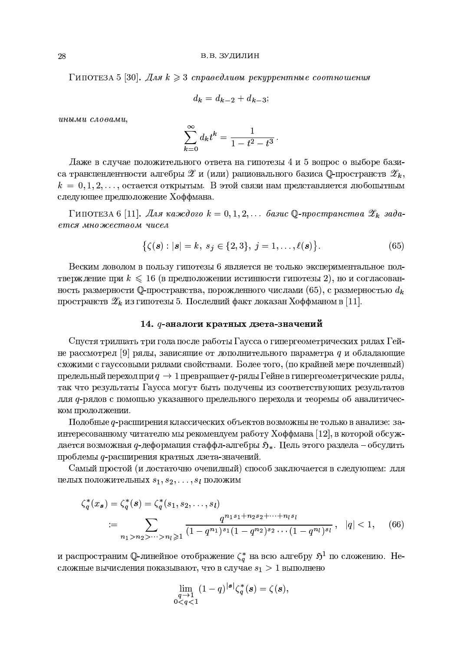Гипотеза 5 [30]. Для  $k \geqslant 3$  справедливы рекуррентные соотношения

$$
d_k = d_{k-2} + d_{k-3};
$$

иными словами,

$$
\sum_{k=0}^{\infty} d_k t^k = \frac{1}{1 - t^2 - t^3}.
$$

Даже в случае положительного ответа на гипотезы 4 и 5 вопрос о выборе базиса трансцендентности алгебры  $\mathscr{Z}$  и (или) рационального базиса Q-пространств  $\mathscr{Z}_k$ ,  $k = 0, 1, 2, \ldots$ , остается открытым. В этой связи нам представляется любопытным следующее предположение Хоффмана.

Гипотеза 6 [11]. Для каждого  $k = 0, 1, 2, \ldots$  базис Q-пространства  $\mathscr{Z}_k$  задается множеством чисел

$$
\{\zeta(\mathbf{s}) : |\mathbf{s}| = k, \ s_j \in \{2, 3\}, \ j = 1, \dots, \ell(\mathbf{s})\}.
$$
 (65)

Веским доводом в пользу гипотезы 6 является не только экспериментальное подтверждение при  $k \leq 16$  (в предположении истинности гипотезы 2), но и согласованность размерности Q-пространства, порожденного числами (65), с размерностью  $d_k$ пространств  $\mathscr{Z}_k$  из гипотезы 5. Последний факт доказан Хоффманом в [11].

#### 14. ф-аналоги кратных дзета-значений

Спустя тридцать три года после работы Гаусса о гипергеометрических рядах Гейне рассмотрел [9] ряды, зависящие от дополнительного параметра q и обладающие схожими с гауссовыми рядами свойствами. Более того, (по крайней мере почленный) предельный переход при  $q \to 1$  превращает q-ряды Гейне в гипергеометрические ряды, так что результаты Гаусса могут быть получены из соответствующих результатов для q-рядов с помощью указанного предельного перехода и теоремы об аналитическом продолжении.

Подобные q-расширения классических объектов возможны не только в анализе: заинтересованному читателю мы рекомендуем работу Хоффмана [12], в которой обсуждается возможная q-деформация стаффл-алгебры  $\mathfrak{H}_*$ . Цель этого раздела – обсудить проблемы q-расширения кратных дзета-значений.

Самый простой (и достаточно очевидный) способ заключается в следующем: для целых положительных  $s_1, s_2, \ldots, s_l$  положим

$$
\zeta_q^*(x_s) = \zeta_q^*(s) = \zeta_q^*(s_1, s_2, \dots, s_l)
$$
  
 := 
$$
\sum_{n_1 > n_2 > \dots > n_l \ge 1} \frac{q^{n_1 s_1 + n_2 s_2 + \dots + n_l s_l}}{(1 - q^{n_1})^{s_1} (1 - q^{n_2})^{s_2} \dots (1 - q^{n_l})^{s_l}}, \quad |q| < 1,
$$
 (66)

и распространим Q-линейное отображение $\zeta_q^*$ на всю алгебру $\mathfrak{H}^1$  по сложению. Несложные вычисления показывают, что в случае  $s_1 > 1$  выполнено

$$
\lim_{\substack{q \to 1 \\ 0 < q < 1}} (1 - q)^{\lvert s \rvert} \zeta_q^*(s) = \zeta(s),
$$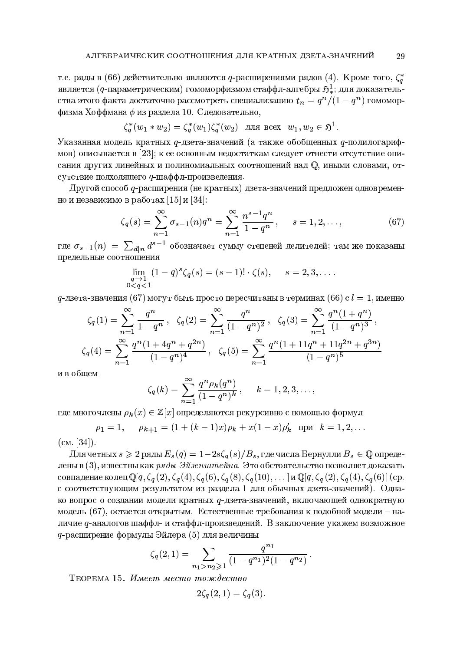т.е. ряды в (66) действительно являются q-расширениями рядов (4). Кроме того,  $\zeta_q^*$ является (q-параметрическим) гомоморфизмом стаффл-алгебры  $\mathfrak{H}^1_*$ ; для доказательства этого факта достаточно рассмотреть специализацию  $t_n = q^n/(1-q^n)$  гомоморфизма Хоффмана  $\phi$  из раздела 10. Следовательно,

$$
\zeta_q^*(w_1*w_2) = \zeta_q^*(w_1)\zeta_q^*(w_2) \text{ and } \mathrm{Bccx} \ w_1, w_2 \in \mathfrak{H}^1.
$$

Указанная модель кратных *q*-дзета-значений (а также обобщенных *q*-полилогарифмов) описывается в [23]; к ее основным недостаткам следует отнести отсутствие описания других линейных и полиномиальных соотношений над  $\mathbb O$ , иными словами, отсутствие подходящего q-шаффл-произведения.

Другой способ q-расширения (не кратных) дзета-значений предложен одновременно и независимо в работах [15] и [34]:

$$
\zeta_q(s) = \sum_{n=1}^{\infty} \sigma_{s-1}(n) q^n = \sum_{n=1}^{\infty} \frac{n^{s-1} q^n}{1 - q^n}, \qquad s = 1, 2, \dots,
$$
 (67)

где  $\sigma_{s-1}(n) = \sum_{d|n} d^{s-1}$  обозначает сумму степеней делителей; там же показаны предельные соотношения

$$
\lim_{\substack{q \to 1 \\ 0 < q < 1}} (1 - q)^s \zeta_q(s) = (s - 1)! \cdot \zeta(s), \qquad s = 2, 3, \dots
$$

 $q$ -дзета-значения (67) могут быть просто пересчитаны в терминах (66) с  $l = 1$ , именно

$$
\zeta_q(1) = \sum_{n=1}^{\infty} \frac{q^n}{1 - q^n}, \quad \zeta_q(2) = \sum_{n=1}^{\infty} \frac{q^n}{(1 - q^n)^2}, \quad \zeta_q(3) = \sum_{n=1}^{\infty} \frac{q^n (1 + q^n)}{(1 - q^n)^3},
$$

$$
\zeta_q(4) = \sum_{n=1}^{\infty} \frac{q^n (1 + 4q^n + q^{2n})}{(1 - q^n)^4}, \quad \zeta_q(5) = \sum_{n=1}^{\infty} \frac{q^n (1 + 11q^n + 11q^{2n} + q^{3n})}{(1 - q^n)^5}
$$

и в общем

$$
\zeta_q(k) = \sum_{n=1}^{\infty} \frac{q^n \rho_k(q^n)}{(1-q^n)^k}, \qquad k = 1, 2, 3, \dots,
$$

где многочлены  $\rho_k(x) \in \mathbb{Z}[x]$  определяются рекурсивно с помощью формул

$$
\rho_1 = 1
$$
,  $\rho_{k+1} = (1 + (k-1)x)\rho_k + x(1-x)\rho'_k$   $\text{npu } k = 1, 2, ...$ 

 $(c_M, [34])$ .

Для четных  $s \geqslant 2$  ряды  $E_s(q) = 1-2s\zeta_q(s)/B_s$ , где числа Бернулли  $B_s \in \mathbb{Q}$  определены в (3), известны как ряды Эйзенштейна. Это обстоятельство позволяет доказать совпадение колец  $\mathbb{Q}[q,\zeta_q(2),\zeta_q(4),\zeta_q(6),\zeta_q(8),\zeta_q(10),\ldots]$  и  $\mathbb{Q}[q,\zeta_q(2),\zeta_q(4),\zeta_q(6)]$  (ср. с соответствующим результатом из раздела 1 для обычных дзета-значений). Однако вопрос о создании модели кратных q-дзета-значений, включающей однократную модель (67), остается открытым. Естественные требования к подобной модели – наличие  $q$ -аналогов шаффл- и стаффл-произведений. В заключение укажем возможное 9-расширение формулы Эйлера (5) для величины

$$
\zeta_q(2,1)=\sum_{n_1>n_2\geqslant 1}\frac{q^{n_1}}{(1-q^{n_1})^2(1-q^{n_2})}.
$$

ТЕОРЕМА 15. Имеет место тождество

$$
2\zeta_q(2,1)=\zeta_q(3).
$$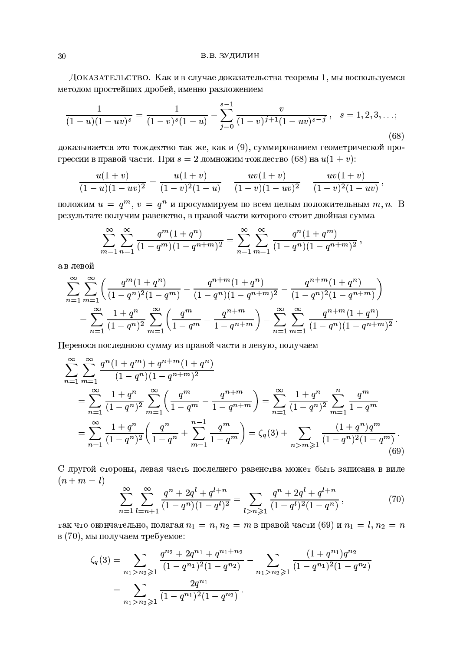ДОКАЗАТЕЛЬСТВО. Как и в случае доказательства теоремы 1, мы воспользуемся методом простейших дробей, именно разложением

$$
\frac{1}{(1-u)(1-uv)^s} = \frac{1}{(1-v)^s(1-u)} - \sum_{j=0}^{s-1} \frac{v}{(1-v)^{j+1}(1-uv)^{s-j}}, \quad s = 1, 2, 3, \dots; \tag{68}
$$

доказывается это тождество так же, как и  $(9)$ , суммированием геометрической прогрессии в правой части. При  $s = 2$  домножим тождество (68) на  $u(1 + v)$ :

$$
\frac{u(1+v)}{(1-u)(1-uv)^2} = \frac{u(1+v)}{(1-v)^2(1-u)} - \frac{uv(1+v)}{(1-v)(1-uv)^2} - \frac{uv(1+v)}{(1-v)^2(1-uv)},
$$

положим  $u = q^m$ ,  $v = q^n$  и просуммируем по всем целым положительным  $m, n$ . В результате получим равенство, в правой части которого стоит двойная сумма

$$
\sum_{m=1}^{\infty} \sum_{n=1}^{\infty} \frac{q^m (1+q^n)}{(1-q^m)(1-q^{n+m})^2} = \sum_{n=1}^{\infty} \sum_{m=1}^{\infty} \frac{q^n (1+q^m)}{(1-q^n)(1-q^{n+m})^2},
$$

а в левой

$$
\sum_{n=1}^{\infty} \sum_{m=1}^{\infty} \left( \frac{q^m (1+q^n)}{(1-q^n)^2 (1-q^m)} - \frac{q^{n+m} (1+q^n)}{(1-q^n)(1-q^{n+m})^2} - \frac{q^{n+m} (1+q^n)}{(1-q^n)^2 (1-q^{n+m})} \right)
$$
  
= 
$$
\sum_{n=1}^{\infty} \frac{1+q^n}{(1-q^n)^2} \sum_{m=1}^{\infty} \left( \frac{q^m}{1-q^m} - \frac{q^{n+m}}{1-q^{n+m}} \right) - \sum_{n=1}^{\infty} \sum_{m=1}^{\infty} \frac{q^{n+m} (1+q^n)}{(1-q^n)(1-q^{n+m})^2}.
$$

Перенося последнюю сумму из правой части в левую, получаем

$$
\sum_{n=1}^{\infty} \sum_{m=1}^{\infty} \frac{q^n (1+q^m) + q^{n+m} (1+q^n)}{(1-q^n)(1-q^{n+m})^2}
$$
  
= 
$$
\sum_{n=1}^{\infty} \frac{1+q^n}{(1-q^n)^2} \sum_{m=1}^{\infty} \left( \frac{q^m}{1-q^m} - \frac{q^{n+m}}{1-q^{n+m}} \right) = \sum_{n=1}^{\infty} \frac{1+q^n}{(1-q^n)^2} \sum_{m=1}^n \frac{q^m}{1-q^m}
$$
  
= 
$$
\sum_{n=1}^{\infty} \frac{1+q^n}{(1-q^n)^2} \left( \frac{q^n}{1-q^n} + \sum_{m=1}^{n-1} \frac{q^m}{1-q^m} \right) = \zeta_q(3) + \sum_{n>m \geq 1} \frac{(1+q^n)q^m}{(1-q^n)^2(1-q^m)}.
$$
(69)

С другой стороны, левая часть последнего равенства может быть записана в виде  $(n+m=l)$ 

$$
\sum_{n=1}^{\infty} \sum_{l=n+1}^{\infty} \frac{q^n + 2q^l + q^{l+n}}{(1-q^n)(1-q^l)^2} = \sum_{l>n \geqslant 1} \frac{q^n + 2q^l + q^{l+n}}{(1-q^l)^2(1-q^n)},\tag{70}
$$

так что окончательно, полагая  $n_1 = n, n_2 = m$  в правой части (69) и  $n_1 = l, n_2 = n$ в (70), мы получаем требуемое:

$$
\zeta_q(3) = \sum_{n_1 > n_2 \geqslant 1} \frac{q^{n_2} + 2q^{n_1} + q^{n_1 + n_2}}{(1 - q^{n_1})^2 (1 - q^{n_2})} - \sum_{n_1 > n_2 \geqslant 1} \frac{(1 + q^{n_1})q^{n_2}}{(1 - q^{n_1})^2 (1 - q^{n_2})}
$$
  
= 
$$
\sum_{n_1 > n_2 \geqslant 1} \frac{2q^{n_1}}{(1 - q^{n_1})^2 (1 - q^{n_2})}.
$$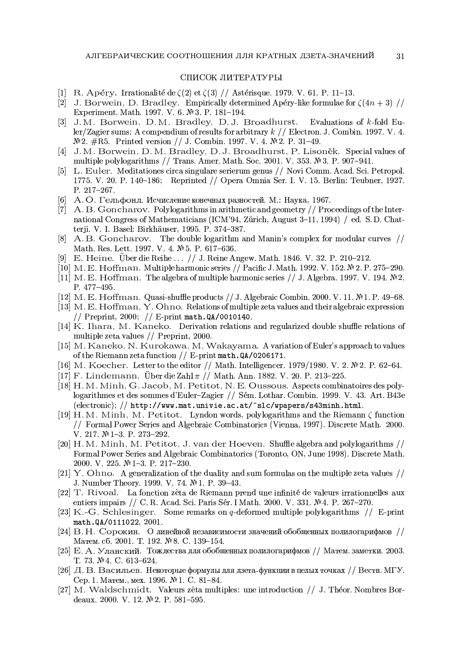### СПИСОК ЛИТЕРАТУРЫ

- [1] R. Apéry. Irrationalité de  $\zeta(2)$  et  $\zeta(3)$  // Astérisque. 1979. V. 61. P. 11–13.
- [2] J. Borwein, D. Bradley. Empirically determined Apéry-like formulae for  $\zeta(4n+3)/\ell$ Experiment. Math. 1997. V. 6. № 3. P. 181-194.
- [3] J.M. Borwein, D.M. Bradley, D.J. Broadhurst. Evaluations of k-fold Euler/Zagier sums: A compendium of results for arbitrary  $k$  // Electron. J. Combin. 1997. V. 4. № 2. #R5. Printed version // J. Combin. 1997. V. 4. № 2. P. 31–49.
- [4] J. M. Borwein, D. M. Bradley, D. J. Broadhurst, P. Lisonek. Special values of multiple polylogarithms // Trans. Amer. Math. Soc. 2001. V. 353.  $\mathbb{N}$ 3. P. 907-941.
- [5] L. Euler. Meditationes circa singulare serierum genus // Novi Comm. Acad. Sci. Petropol. 1775. V. 20. P. 140–186; Reprinted // Opera Omnia Ser. I. V. 15. Berlin: Teubner, 1927. P. 217-267.
- А.О. Гельфонд. Исчисление конечных разностей. М.: Наука, 1967.  $\lceil 6 \rceil$
- [7] A. B. Goncharov. Polylogarithms in arithmetic and geometry // Proceedings of the International Congress of Mathematicians (ICM'94, Zürich, August 3-11, 1994) / ed. S.D. Chatterji. V. I. Basel: Birkhäuser, 1995. P. 374-387.
- [8] A.B. Goncharov. The double logarithm and Manin's complex for modular curves // Math. Res. Lett. 1997. V. 4. № 5. P. 617-636.
- [9] E. Heine. Uber die Reihe ... // J. Reine Angew. Math. 1846. V. 32. P. 210-212.
- [10] M. E. Hoffman. Multiple harmonic series  $//$  Pacific J. Math. 1992. V. 152.  $\mathbb{N}^2$  2. P. 275-290.
- [11] M. E. Hoffman. The algebra of multiple harmonic series  $//$  J. Algebra. 1997. V. 194.  $\mathcal{N}_2$ . P. 477-495.
- [12] M. E. Hoffman. Quasi-shuffle products // J. Algebraic Combin. 2000. V. 11. № 1. P. 49-68.
- [13] M. E. Hoffman, Y. Ohno. Relations of multiple zeta values and their algebraic expression // Preprint, 2000; // E-print math.  $QA/0010140$ .
- [14] K. Ihara, M. Kaneko. Derivation relations and regularized double shuffle relations of multiple zeta values // Preprint, 2000.
- [15] M. Kaneko, N. Kurokawa, M. Wakayama. A variation of Euler's approach to values of the Riemann zeta function  $//$  E-print math. QA/0206171.
- [16] M. Koecher. Letter to the editor // Math. Intelligencer. 1979/1980. V. 2.  $\mathbb{N}^2$ . P. 62–64.
- [17] F. Lindemann. Über die Zahl  $\pi$  // Math. Ann. 1882. V. 20. P. 213-225.
- [18] H. M. Minh, G. Jacob, M. Petitot, N. E. Oussous. Aspects combinatoires des polylogarithmes et des sommes d'Euler-Zagier // Sém. Lothar. Combin. 1999. V. 43. Art. B43e  $(\text{electronic}); // \text{http://www.math.univie.ac.at/~slc/wappers/s43minh.html.}$
- [19] H. M. Minh, M. Petitot. Lyndon words, polylogarithms and the Riemann  $\zeta$  function // Formal Power Series and Algebraic Combinatorics (Vienna, 1997). Discrete Math. 2000. V. 217. № 1-3. P. 273-292.
- [20] H. M. Minh, M. Petitot, J. van der Hoeven. Shuffle algebra and polylogarithms // Formal Power Series and Algebraic Combinatorics (Toronto, ON, June 1998). Discrete Math. 2000. V. 225. № 1-3. P. 217-230.
- [21] Y. Ohno. A generalization of the duality and sum formulas on the multiple zeta values  $\frac{1}{2}$ J. Number Theory. 1999. V. 74. № 1. P. 39–43.
- [22] T. Rivoal. La fonction zêta de Riemann prend une infinité de valeurs irrationnelles aux entiers impairs // C. R. Acad. Sci. Paris Sér. I Math. 2000. V. 331. Nº 4. P. 267-270.
- [23] K.-G. Schlesinger. Some remarks on q-deformed multiple polylogarithms  $//$  E-print math.0A/0111022, 2001.
- [24] В. Н. Сорокин. О линейной независимости значений обобщенных полилогарифмов // Матем. сб. 2001. Т. 192. № 8. С. 139-154.
- [25] Е. А. Уланский. Тождества для обобщенных полилогарифмов // Матем. заметки. 2003. T. 73. №4. C. 613-624.
- [26] Д. В. Васильев. Некоторые формулы для дзета-функции в целых точках // Вестн. МГУ. Сер. 1. Матем., мех. 1996. № 1. С. 81-84.
- [27] M. Waldschmidt. Valeurs zêta multiples: une introduction // J. Theor. Nombres Bordeaux. 2000. V. 12. № 2. P. 581-595.